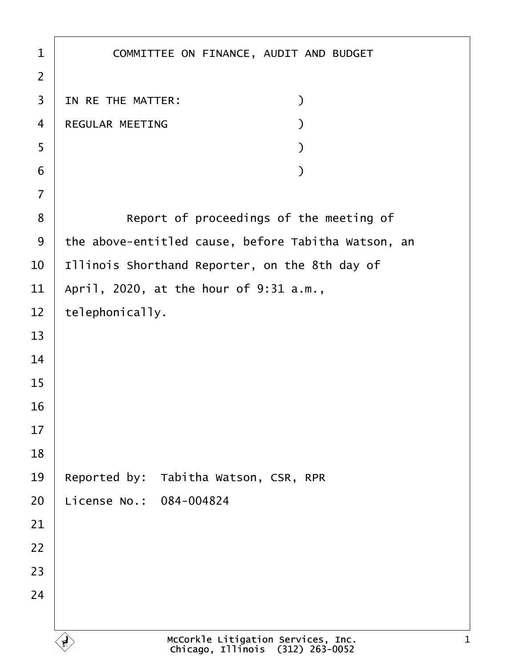| 1              | COMMITTEE ON FINANCE, AUDIT AND BUDGET              |
|----------------|-----------------------------------------------------|
| $\overline{2}$ |                                                     |
| 3              | IN RE THE MATTER:<br>$\mathcal{E}$                  |
| $\overline{4}$ | REGULAR MEETING                                     |
| 5              |                                                     |
| 6              |                                                     |
| $\overline{7}$ |                                                     |
| $\bf 8$        | Report of proceedings of the meeting of             |
| 9              | the above-entitled cause, before Tabitha Watson, an |
| 10             | Illinois Shorthand Reporter, on the 8th day of      |
| 11             | April, 2020, at the hour of 9:31 a.m.,              |
| 12             | telephonically.                                     |
| 13             |                                                     |
| 14             |                                                     |
| 15             |                                                     |
| 16             |                                                     |
| 17             |                                                     |
| 18             |                                                     |
| 19             | Reported by: Tabitha Watson, CSR, RPR               |
| 20             | License No.: 084-004824                             |
| 21             |                                                     |
| 22             |                                                     |
| 23             |                                                     |
| 24             |                                                     |
|                |                                                     |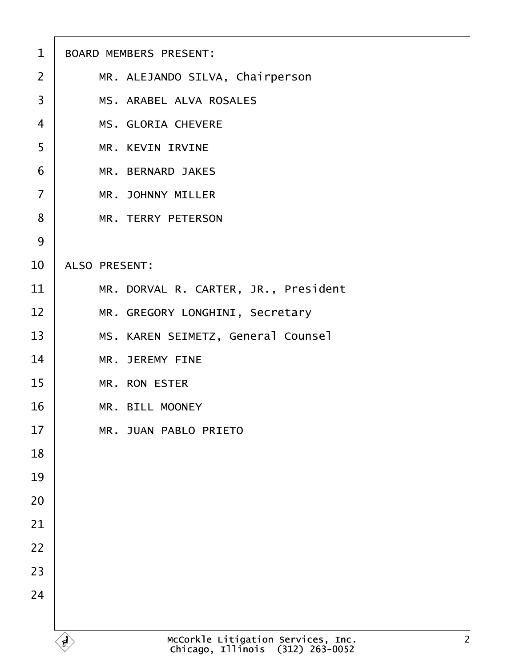| $\mathbf 1$    | <b>BOARD MEMBERS PRESENT:</b>        |
|----------------|--------------------------------------|
| 2              | MR. ALEJANDO SILVA, Chairperson      |
| 3              | <b>MS. ARABEL ALVA ROSALES</b>       |
| $\overline{4}$ | <b>MS. GLORIA CHEVERE</b>            |
| 5              | <b>MR. KEVIN IRVINE</b>              |
| 6              | <b>MR. BERNARD JAKES</b>             |
| $\overline{7}$ | <b>MR. JOHNNY MILLER</b>             |
| 8              | <b>MR. TERRY PETERSON</b>            |
| 9              |                                      |
| 10             | <b>ALSO PRESENT:</b>                 |
| 11             | MR. DORVAL R. CARTER, JR., President |
| 12             | MR. GREGORY LONGHINI, Secretary      |
| 13             | MS. KAREN SEIMETZ, General Counsel   |
| 14             | <b>MR. JEREMY FINE</b>               |
| 15             | <b>MR. RON ESTER</b>                 |
| 16             | <b>MR. BILL MOONEY</b>               |
| 17             | <b>MR. JUAN PABLO PRIETO</b>         |
| 18             |                                      |
| 19             |                                      |
| 20             |                                      |
| 21             |                                      |
| 22             |                                      |
| 23             |                                      |
| 24             |                                      |
|                |                                      |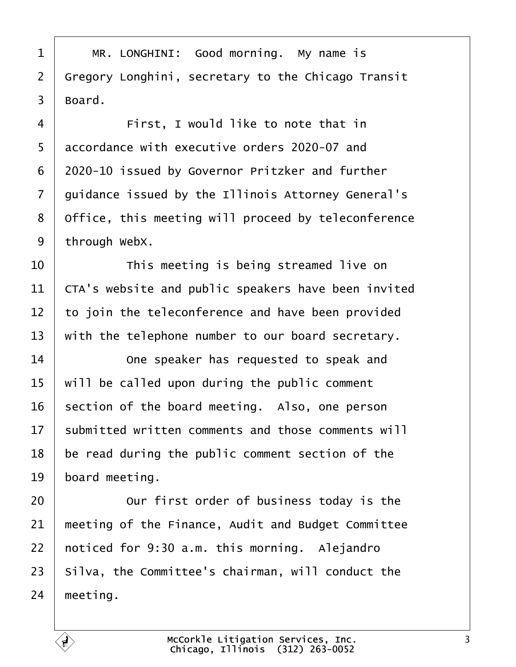<span id="page-2-0"></span>

| 1              | MR. LONGHINI: Good morning. My name is              |
|----------------|-----------------------------------------------------|
| $\overline{2}$ | Gregory Longhini, secretary to the Chicago Transit  |
| 3              | Board.                                              |
| 4              | First, I would like to note that in                 |
| 5              | accordance with executive orders 2020-07 and        |
| 6              | 2020-10 issued by Governor Pritzker and further     |
| 7              | guidance issued by the Illinois Attorney General's  |
| 8              | Office, this meeting will proceed by teleconference |
| 9              | through WebX.                                       |
| 10             | This meeting is being streamed live on              |
| 11             | CTA's website and public speakers have been invited |
| 12             | to join the teleconference and have been provided   |
| 13             | with the telephone number to our board secretary.   |
| 14             | One speaker has requested to speak and              |
| 15             | will be called upon during the public comment       |
| 16             | section of the board meeting. Also, one person      |
| 17             | submitted written comments and those comments will  |
| 18             | be read during the public comment section of the    |
| 19             | board meeting.                                      |
| 20             | Our first order of business today is the            |
| 21             | meeting of the Finance, Audit and Budget Committee  |
| 22             | noticed for 9:30 a.m. this morning. Alejandro       |
| 23             | Silva, the Committee's chairman, will conduct the   |
| 24             | meeting.                                            |
|                |                                                     |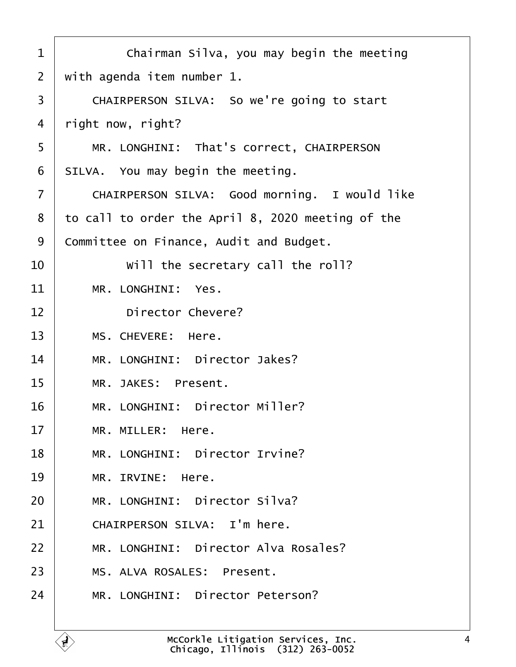<span id="page-3-0"></span>

| 1  | Chairman Silva, you may begin the meeting         |
|----|---------------------------------------------------|
| 2  | with agenda item number 1.                        |
| 3  | CHAIRPERSON SILVA: So we're going to start        |
| 4  | right now, right?                                 |
| 5  | MR. LONGHINI: That's correct, CHAIRPERSON         |
| 6  | SILVA. You may begin the meeting.                 |
| 7  | CHAIRPERSON SILVA: Good morning. I would like     |
| 8  | to call to order the April 8, 2020 meeting of the |
| 9  | Committee on Finance, Audit and Budget.           |
| 10 | Will the secretary call the roll?                 |
| 11 | MR. LONGHINI: Yes.                                |
| 12 | <b>Director Chevere?</b>                          |
| 13 | MS. CHEVERE: Here.                                |
| 14 | MR. LONGHINI: Director Jakes?                     |
| 15 | MR. JAKES: Present.                               |
| 16 | MR. LONGHINI: Director Miller?                    |
| 17 | MR. MILLER: Here.                                 |
| 18 | MR. LONGHINI: Director Irvine?                    |
| 19 | MR. IRVINE: Here.                                 |
| 20 | MR. LONGHINI: Director Silva?                     |
| 21 | CHAIRPERSON SILVA: I'm here.                      |
| 22 | MR. LONGHINI: Director Alva Rosales?              |
| 23 | MS. ALVA ROSALES: Present.                        |
| 24 | MR. LONGHINI: Director Peterson?                  |
|    |                                                   |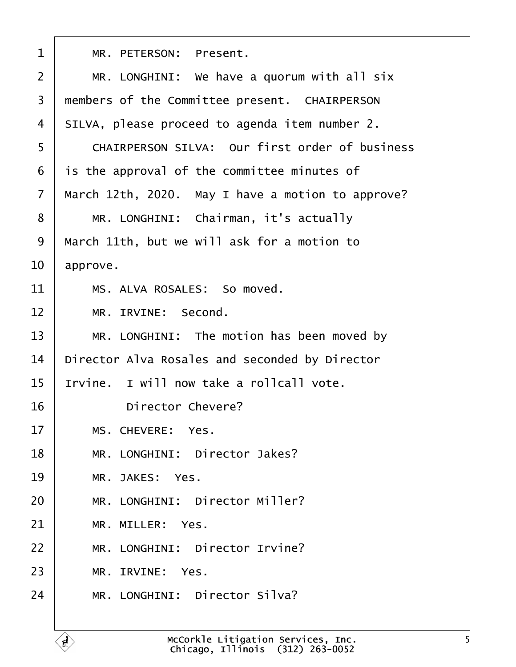<span id="page-4-0"></span>

| 1  | MR. PETERSON: Present.                                |
|----|-------------------------------------------------------|
| 2  | MR. LONGHINI: We have a quorum with all six           |
| 3  | members of the Committee present. CHAIRPERSON         |
| 4  | SILVA, please proceed to agenda item number 2.        |
| 5  | <b>CHAIRPERSON SILVA: Our first order of business</b> |
| 6  | is the approval of the committee minutes of           |
| 7  | March 12th, 2020. May I have a motion to approve?     |
| 8  | MR. LONGHINI: Chairman, it's actually                 |
| 9  | March 11th, but we will ask for a motion to           |
| 10 | approve.                                              |
| 11 | MS. ALVA ROSALES: So moved.                           |
| 12 | MR. IRVINE: Second.                                   |
| 13 | MR. LONGHINI: The motion has been moved by            |
| 14 | Director Alva Rosales and seconded by Director        |
| 15 | Irvine. I will now take a rollcall vote.              |
| 16 | <b>Director Chevere?</b>                              |
| 17 | MS. CHEVERE: Yes.                                     |
| 18 | MR. LONGHINI: Director Jakes?                         |
| 19 | MR. JAKES: Yes.                                       |
| 20 | MR. LONGHINI: Director Miller?                        |
| 21 | MR. MILLER: Yes.                                      |
| 22 | MR. LONGHINI: Director Irvine?                        |
| 23 | MR. IRVINE: Yes.                                      |
| 24 | MR. LONGHINI: Director Silva?                         |
|    |                                                       |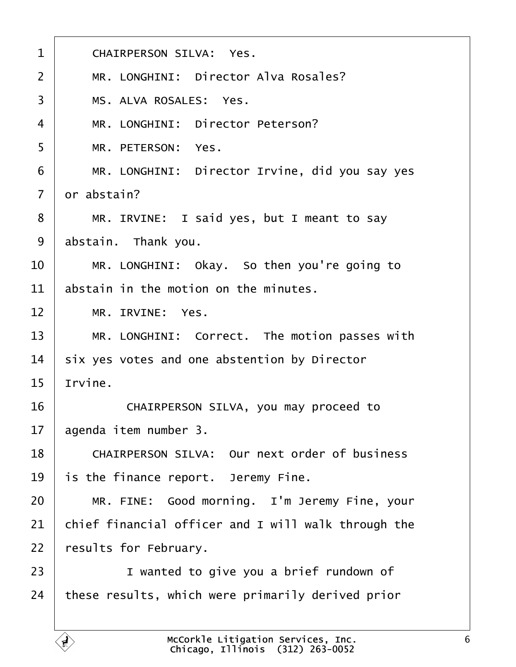<span id="page-5-0"></span>

| $\mathbf 1$    | <b>CHAIRPERSON SILVA: Yes.</b>                       |
|----------------|------------------------------------------------------|
| $\overline{2}$ | MR. LONGHINI: Director Alva Rosales?                 |
| 3              | MS. ALVA ROSALES: Yes.                               |
| 4              | MR. LONGHINI: Director Peterson?                     |
| 5              | MR. PETERSON: Yes.                                   |
| 6              | MR. LONGHINI: Director Irvine, did you say yes       |
| $\overline{7}$ | dr abstain?                                          |
| 8              | MR. IRVINE: I said yes, but I meant to say           |
| 9              | abstain. Thank you.                                  |
| 10             | MR. LONGHINI: Okay. So then you're going to          |
| 11             | abstain in the motion on the minutes.                |
| 12             | MR. IRVINE: Yes.                                     |
| 13             | MR. LONGHINI: Correct. The motion passes with        |
| 14             | six yes votes and one abstention by Director         |
| 15             | Irvine.                                              |
| 16             | CHAIRPERSON SILVA, you may proceed to                |
| 17             | agenda item number 3.                                |
| 18             | <b>CHAIRPERSON SILVA: Our next order of business</b> |
| 19             | is the finance report. Jeremy Fine.                  |
| 20             | MR. FINE: Good morning. I'm Jeremy Fine, your        |
| 21             | chief financial officer and I will walk through the  |
| 22             | results for February.                                |
| 23             | I wanted to give you a brief rundown of              |
| 24             | these results, which were primarily derived prior    |
|                |                                                      |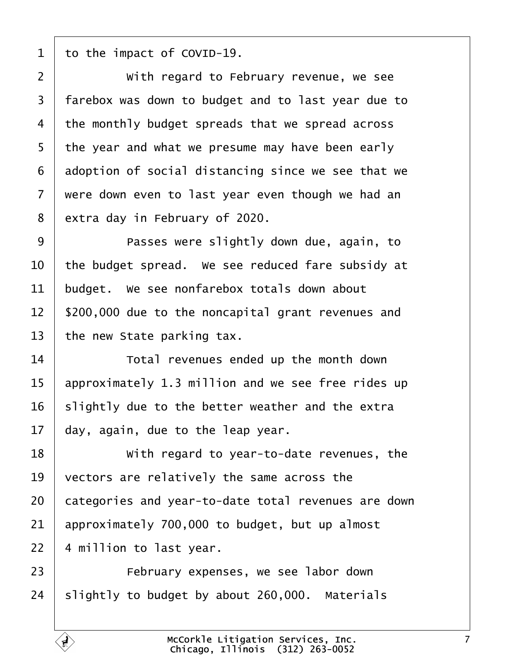<span id="page-6-0"></span>1 to the impact of COVID-19.

| $\overline{2}$ | With regard to February revenue, we see             |
|----------------|-----------------------------------------------------|
| 3              | farebox was down to budget and to last year due to  |
| 4              | the monthly budget spreads that we spread across    |
| 5              | the year and what we presume may have been early    |
| 6              | adoption of social distancing since we see that we  |
| 7              | were down even to last year even though we had an   |
| 8              | extra day in February of 2020.                      |
| 9              | Passes were slightly down due, again, to            |
| 10             | the budget spread. We see reduced fare subsidy at   |
| 11             | budget. We see nonfarebox totals down about         |
| 12             | \$200,000 due to the noncapital grant revenues and  |
| 13             | the new State parking tax.                          |
| 14             | Total revenues ended up the month down              |
| 15             | approximately 1.3 million and we see free rides up  |
| 16             | slightly due to the better weather and the extra    |
| 17             | day, again, due to the leap year.                   |
| 18             | With regard to year-to-date revenues, the           |
| 19             | vectors are relatively the same across the          |
| 20             | categories and year-to-date total revenues are down |
| 21             | approximately 700,000 to budget, but up almost      |
| 22             | 4 million to last year.                             |
| 23             | February expenses, we see labor down                |
| 24             | slightly to budget by about 260,000. Materials      |
|                |                                                     |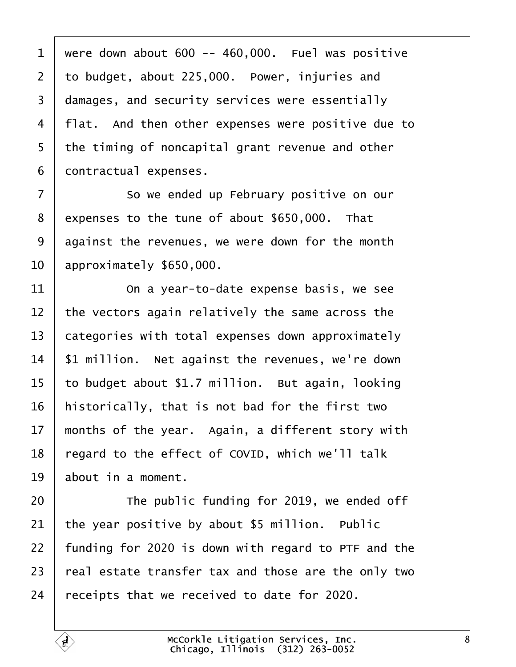<span id="page-7-0"></span>1 were down about  $600 - 460,000$ . Fuel was positive 2 to budget, about 225,000. Power, injuries and 3 damages, and security services were essentially 4 flat. And then other expenses were positive due to 5 the timing of noncapital grant revenue and other 6 dontractual expenses. 7 **So we ended up February positive on our** 8 expenses to the tune of about \$650,000. That 9 disteparate revenues, we were down for the month 10 approximately \$650,000.  $11$   $\Box$  On a year-to-date expense basis, we see 12 the vectors again relatively the same across the 13 categories with total expenses down approximately 14 \$1 million. Net against the revenues, we're down 15 to budget about \$1.7 million. But again, looking 16 historically, that is not bad for the first two 17 months of the year. Again, a different story with 18 regard to the effect of COVID, which we'll talk 19 about in a moment. 20 **The public funding for 2019, we ended off** 21 the year positive by about \$5 million. Public 22 funding for 2020 is down with regard to PTF and the 23 real estate transfer tax and those are the only two 24 receipts that we received to date for 2020.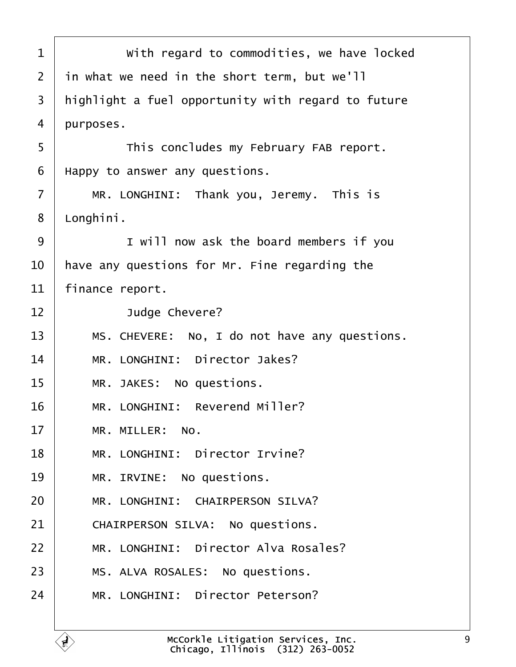<span id="page-8-0"></span>

| 1              | With regard to commodities, we have locked         |
|----------------|----------------------------------------------------|
| 2              | in what we need in the short term, but we'll       |
| 3              | highlight a fuel opportunity with regard to future |
| 4              | purposes.                                          |
| 5              | This concludes my February FAB report.             |
| 6              | Happy to answer any questions.                     |
| $\overline{7}$ | MR. LONGHINI: Thank you, Jeremy. This is           |
| 8              | Longhini.                                          |
| 9              | I will now ask the board members if you            |
| 10             | have any questions for Mr. Fine regarding the      |
| 11             | finance report.                                    |
| 12             | Judge Chevere?                                     |
| 13             | MS. CHEVERE: No, I do not have any questions.      |
| 14             | MR. LONGHINI: Director Jakes?                      |
| 15             | MR. JAKES: No questions.                           |
| 16             | MR. LONGHINI: Reverend Miller?                     |
| 17             | MR. MILLER: No.                                    |
| 18             | MR. LONGHINI: Director Irvine?                     |
| 19             | MR. IRVINE: No questions.                          |
| 20             | <b>MR. LONGHINI: CHAIRPERSON SILVA?</b>            |
| 21             | CHAIRPERSON SILVA: No questions.                   |
| 22             | MR. LONGHINI: Director Alva Rosales?               |
| 23             | MS. ALVA ROSALES: No questions.                    |
| 24             | MR. LONGHINI: Director Peterson?                   |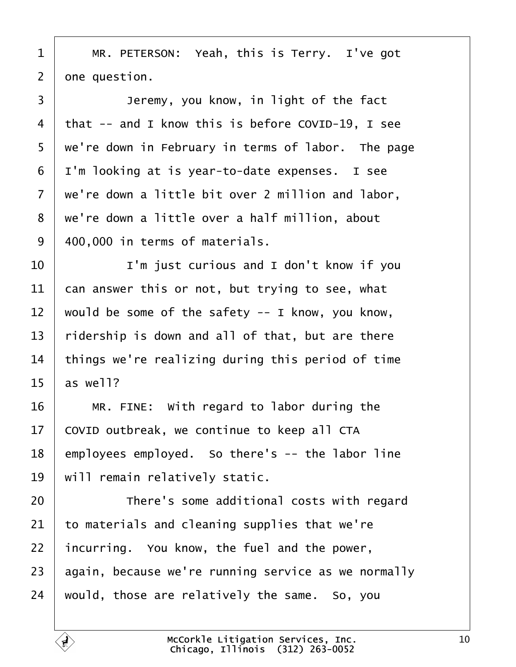<span id="page-9-0"></span>

|  | 1   MR. PETERSON: Yeah, this is Terry. I've got |  |  |
|--|-------------------------------------------------|--|--|
|--|-------------------------------------------------|--|--|

 $2$  one question.

 $\overline{\phantom{a}}$ 

| 3              | Jeremy, you know, in light of the fact              |
|----------------|-----------------------------------------------------|
| 4              | that -- and I know this is before COVID-19, I see   |
| 5              | we're down in February in terms of labor. The page  |
| 6              | I'm looking at is year-to-date expenses. I see      |
| $\overline{7}$ | we're down a little bit over 2 million and labor,   |
| 8              | we're down a little over a half million, about      |
| 9              | 400,000 in terms of materials.                      |
| 10             | I'm just curious and I don't know if you            |
| 11             | can answer this or not, but trying to see, what     |
| 12             | would be some of the safety -- I know, you know,    |
| 13             | ridership is down and all of that, but are there    |
| 14             | things we're realizing during this period of time   |
| 15             | as well?                                            |
| 16             | MR. FINE: With regard to labor during the           |
| 17             | COVID outbreak, we continue to keep all CTA         |
| 18             | employees employed. So there's -- the labor line    |
| 19             | will remain relatively static.                      |
| 20             | There's some additional costs with regard           |
| 21             | to materials and cleaning supplies that we're       |
| 22             | incurring. You know, the fuel and the power,        |
| 23             | again, because we're running service as we normally |
| 24             | would, those are relatively the same. So, you       |
|                |                                                     |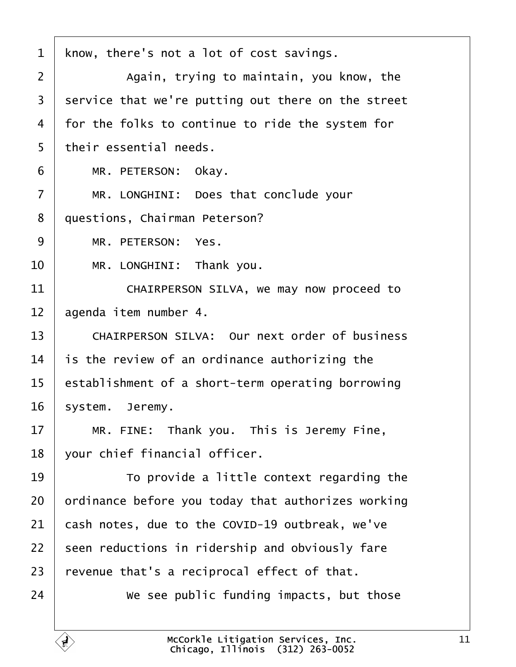<span id="page-10-0"></span>

| 1              | know, there's not a lot of cost savings.             |
|----------------|------------------------------------------------------|
| 2              | Again, trying to maintain, you know, the             |
| 3              | service that we're putting out there on the street   |
| 4              | for the folks to continue to ride the system for     |
| 5              | their essential needs.                               |
| 6              | MR. PETERSON: Okay.                                  |
| $\overline{7}$ | MR. LONGHINI: Does that conclude your                |
| 8              | questions, Chairman Peterson?                        |
| 9              | MR. PETERSON: Yes.                                   |
| 10             | MR. LONGHINI: Thank you.                             |
| 11             | CHAIRPERSON SILVA, we may now proceed to             |
| 12             | agenda item number 4.                                |
| 13             | <b>CHAIRPERSON SILVA: Our next order of business</b> |
| 14             | is the review of an ordinance authorizing the        |
| 15             | establishment of a short-term operating borrowing    |
| 16             | system. Jeremy.                                      |
| 17             | MR. FINE: Thank you. This is Jeremy Fine,            |
| 18             | your chief financial officer.                        |
| 19             | To provide a little context regarding the            |
| 20             | ordinance before you today that authorizes working   |
| 21             | cash notes, due to the COVID-19 outbreak, we've      |
| 22             | seen reductions in ridership and obviously fare      |
| 23             | revenue that's a reciprocal effect of that.          |
| 24             | We see public funding impacts, but those             |
|                |                                                      |

 $\overline{1}$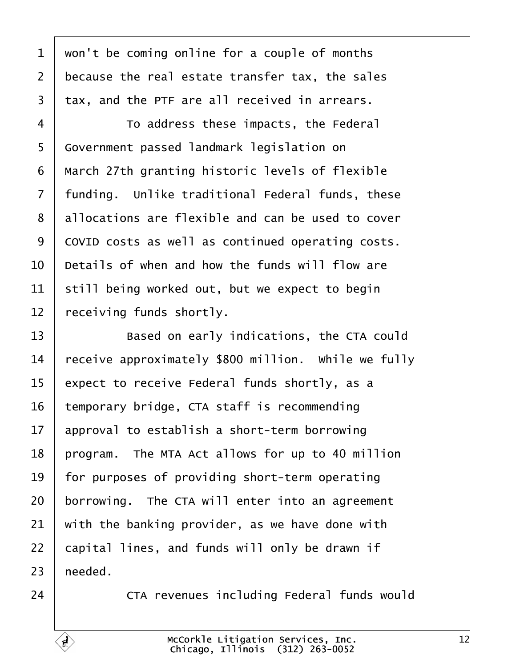<span id="page-11-0"></span>

| 1              | won't be coming online for a couple of months       |
|----------------|-----------------------------------------------------|
| $\overline{2}$ | because the real estate transfer tax, the sales     |
| 3              | tax, and the PTF are all received in arrears.       |
| 4              | To address these impacts, the Federal               |
| 5              | Government passed landmark legislation on           |
| 6              | March 27th granting historic levels of flexible     |
| $\overline{7}$ | funding. Unlike traditional Federal funds, these    |
| 8              | allocations are flexible and can be used to cover   |
| 9              | COVID costs as well as continued operating costs.   |
| 10             | Details of when and how the funds will flow are     |
| 11             | still being worked out, but we expect to begin      |
| 12             | receiving funds shortly.                            |
| 13             | Based on early indications, the CTA could           |
| 14             | receive approximately \$800 million. While we fully |
| 15             | expect to receive Federal funds shortly, as a       |
| 16             | temporary bridge, CTA staff is recommending         |
| 17             | approval to establish a short-term borrowing        |
| 18             | program. The MTA Act allows for up to 40 million    |
| 19             | for purposes of providing short-term operating      |
| 20             | borrowing. The CTA will enter into an agreement     |
| 21             | with the banking provider, as we have done with     |
| 22             | capital lines, and funds will only be drawn if      |
| 23             | heeded.                                             |
| 24             | CTA revenues including Federal funds would          |

 $\sqrt{ }$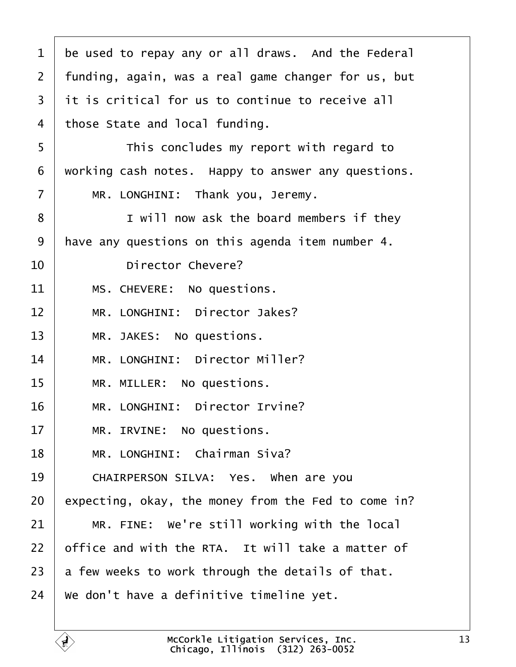<span id="page-12-0"></span>

| 1              | be used to repay any or all draws. And the Federal  |
|----------------|-----------------------------------------------------|
| 2              | funding, again, was a real game changer for us, but |
| 3              | it is critical for us to continue to receive all    |
| 4              | those State and local funding.                      |
| 5              | This concludes my report with regard to             |
| 6              | working cash notes. Happy to answer any questions.  |
| $\overline{7}$ | MR. LONGHINI: Thank you, Jeremy.                    |
| 8              | I will now ask the board members if they            |
| 9              | have any questions on this agenda item number 4.    |
| 10             | <b>Director Chevere?</b>                            |
| 11             | MS. CHEVERE: No questions.                          |
| 12             | MR. LONGHINI: Director Jakes?                       |
| 13             | MR. JAKES: No questions.                            |
| 14             | MR. LONGHINI: Director Miller?                      |
| 15             | MR. MILLER: No questions.                           |
| 16             | MR. LONGHINI: Director Irvine?                      |
| 17             | MR. IRVINE: No questions.                           |
| 18             | MR. LONGHINI: Chairman Siva?                        |
| 19             | CHAIRPERSON SILVA: Yes. When are you                |
| 20             | expecting, okay, the money from the Fed to come in? |
| 21             | MR. FINE: We're still working with the local        |
| 22             | office and with the RTA. It will take a matter of   |
| 23             | a few weeks to work through the details of that.    |
| 24             | We don't have a definitive timeline yet.            |
|                |                                                     |

 $\overline{1}$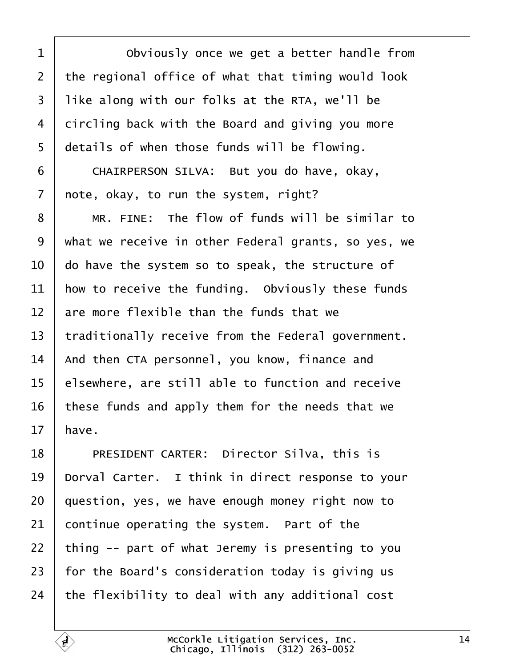<span id="page-13-0"></span>

| 1              | Obviously once we get a better handle from          |
|----------------|-----------------------------------------------------|
| $\overline{2}$ | the regional office of what that timing would look  |
| 3              | like along with our folks at the RTA, we'll be      |
| 4              | dircling back with the Board and giving you more    |
| 5              | details of when those funds will be flowing.        |
| 6              | CHAIRPERSON SILVA: But you do have, okay,           |
| 7              | note, okay, to run the system, right?               |
| 8              | MR. FINE: The flow of funds will be similar to      |
| 9              | what we receive in other Federal grants, so yes, we |
| 10             | do have the system so to speak, the structure of    |
| 11             | how to receive the funding. Obviously these funds   |
| 12             | are more flexible than the funds that we            |
| 13             | traditionally receive from the Federal government.  |
| 14             | And then CTA personnel, you know, finance and       |
| 15             | elsewhere, are still able to function and receive   |
| 16             | these funds and apply them for the needs that we    |
| 17             | have.                                               |
| 18             | PRESIDENT CARTER: Director Silva, this is           |
| 19             | Dorval Carter. I think in direct response to your   |
| 20             | question, yes, we have enough money right now to    |
| 21             | continue operating the system. Part of the          |
| 22             | thing -- part of what Jeremy is presenting to you   |
| 23             | for the Board's consideration today is giving us    |
| 24             | the flexibility to deal with any additional cost    |

 $\Gamma$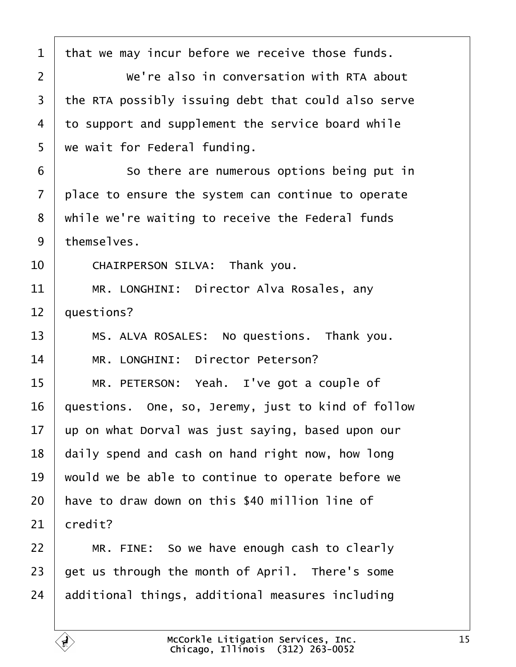<span id="page-14-0"></span>

| 1  | that we may incur before we receive those funds.    |
|----|-----------------------------------------------------|
| 2  | We're also in conversation with RTA about           |
| 3  | the RTA possibly issuing debt that could also serve |
| 4  | to support and supplement the service board while   |
| 5  | we wait for Federal funding.                        |
| 6  | So there are numerous options being put in          |
| 7  | place to ensure the system can continue to operate  |
| 8  | while we're waiting to receive the Federal funds    |
| 9  | themselves.                                         |
| 10 | CHAIRPERSON SILVA: Thank you.                       |
| 11 | MR. LONGHINI: Director Alva Rosales, any            |
| 12 | questions?                                          |
| 13 | MS. ALVA ROSALES: No questions. Thank you.          |
| 14 | MR. LONGHINI: Director Peterson?                    |
| 15 | MR. PETERSON: Yeah. I've got a couple of            |
| 16 | questions. One, so, Jeremy, just to kind of follow  |
| 17 | up on what Dorval was just saying, based upon our   |
| 18 | daily spend and cash on hand right now, how long    |
| 19 | would we be able to continue to operate before we   |
| 20 | have to draw down on this \$40 million line of      |
| 21 | credit?                                             |
| 22 | MR. FINE: So we have enough cash to clearly         |
| 23 | get us through the month of April. There's some     |
| 24 | additional things, additional measures including    |
|    |                                                     |

 $\Gamma$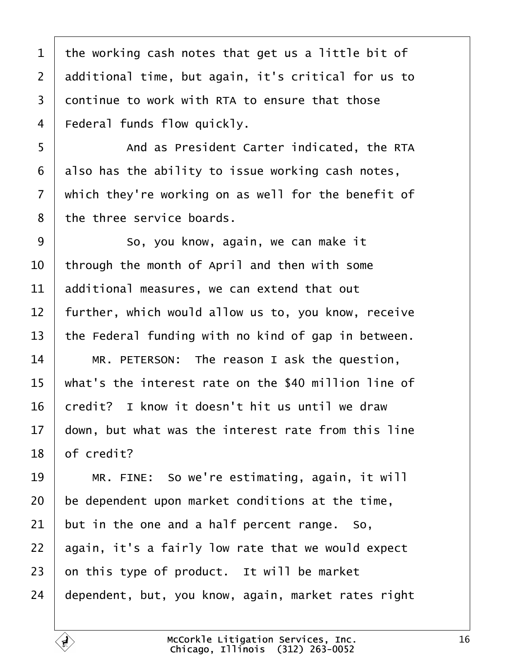<span id="page-15-0"></span>1 the working cash notes that get us a little bit of 2 deditional time, but again, it's critical for us to 3 dontinue to work with RTA to ensure that those 4 Federal funds flow quickly. 5 **And as President Carter indicated, the RTA** 6 also has the ability to issue working cash notes, 7 which they're working on as well for the benefit of 8 the three service boards. 9 **So**, you know, again, we can make it 10 through the month of April and then with some 11 additional measures, we can extend that out 12 further, which would allow us to, you know, receive 13 the Federal funding with no kind of gap in between. 14 | MR. PETERSON: The reason I ask the question, 15 what's the interest rate on the \$40 million line of 16 bredit? I know it doesn't hit us until we draw 17 down, but what was the interest rate from this line 18 **b** f credit? 19 | MR. FINE: So we're estimating, again, it will 20 be dependent upon market conditions at the time, 21 but in the one and a half percent range. So, 22 again, it's a fairly low rate that we would expect  $23$  on this type of product. It will be market 24 dependent, but, you know, again, market rates right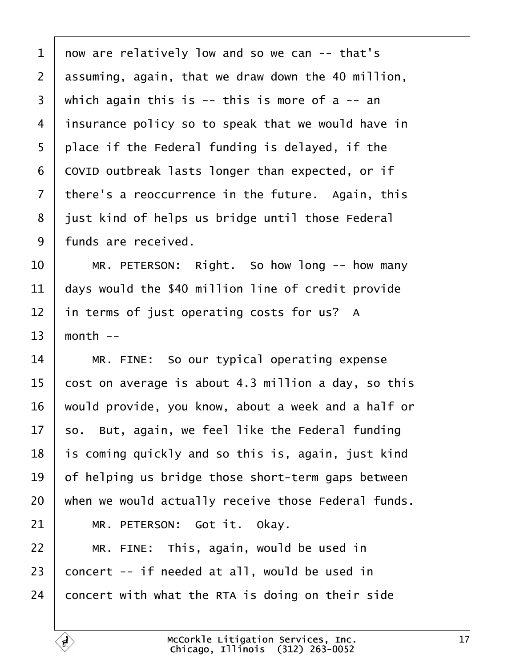<span id="page-16-0"></span>

| 1              | now are relatively low and so we can -- that's      |
|----------------|-----------------------------------------------------|
| $\overline{2}$ | assuming, again, that we draw down the 40 million,  |
| 3              | which again this is $-$ this is more of a $-$ an    |
| 4              | insurance policy so to speak that we would have in  |
| 5              | place if the Federal funding is delayed, if the     |
| 6              | COVID outbreak lasts longer than expected, or if    |
| $\overline{7}$ | there's a reoccurrence in the future. Again, this   |
| 8              | just kind of helps us bridge until those Federal    |
| 9              | funds are received.                                 |
| 10             | MR. PETERSON: Right. So how long -- how many        |
| 11             | days would the \$40 million line of credit provide  |
| 12             | in terms of just operating costs for us? A          |
| 13             | month --                                            |
| 14             | MR. FINE: So our typical operating expense          |
| 15             | cost on average is about 4.3 million a day, so this |
| 16             | would provide, you know, about a week and a half or |
| 17             | so. But, again, we feel like the Federal funding    |
| 18             | is coming quickly and so this is, again, just kind  |
| 19             | of helping us bridge those short-term gaps between  |
| 20             | when we would actually receive those Federal funds. |
| 21             | MR. PETERSON: Got it. Okay.                         |
| 22             | MR. FINE: This, again, would be used in             |
| 23             | concert -- if needed at all, would be used in       |
| 24             | concert with what the RTA is doing on their side    |
|                |                                                     |

 $\sqrt{ }$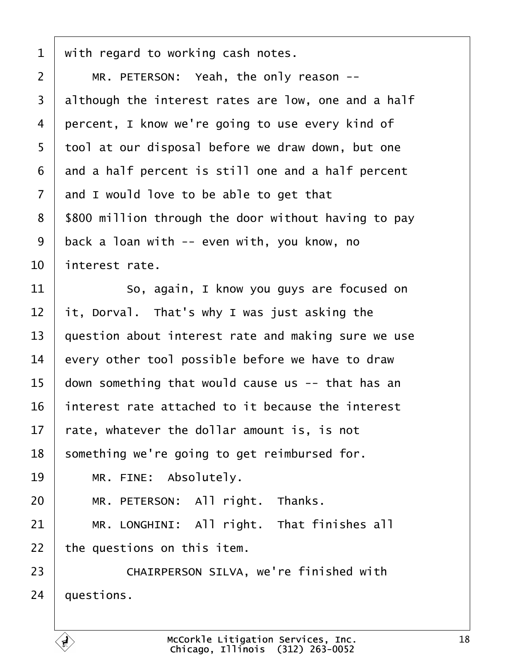<span id="page-17-0"></span>

| 1              | with regard to working cash notes.                   |
|----------------|------------------------------------------------------|
| $\overline{2}$ | MR. PETERSON: Yeah, the only reason --               |
| 3              | although the interest rates are low, one and a half  |
| 4              | percent, I know we're going to use every kind of     |
| 5              | tool at our disposal before we draw down, but one    |
| 6              | and a half percent is still one and a half percent   |
| $\overline{7}$ | and I would love to be able to get that              |
| 8              | \$800 million through the door without having to pay |
| 9              | back a loan with -- even with, you know, no          |
| 10             | interest rate.                                       |
| 11             | So, again, I know you guys are focused on            |
| 12             | it, Dorval. That's why I was just asking the         |
| 13             | question about interest rate and making sure we use  |
| 14             | every other tool possible before we have to draw     |
| 15             | down something that would cause us -- that has an    |
| 16             | interest rate attached to it because the interest    |
| 17             | tate, whatever the dollar amount is, is not          |
| 18             | something we're going to get reimbursed for.         |
| 19             | MR. FINE: Absolutely.                                |
| 20             | MR. PETERSON: All right. Thanks.                     |
| 21             | MR. LONGHINI: All right. That finishes all           |
| 22             | the questions on this item.                          |
| 23             | CHAIRPERSON SILVA, we're finished with               |
| 24             | questions.                                           |
|                |                                                      |

 $\Gamma$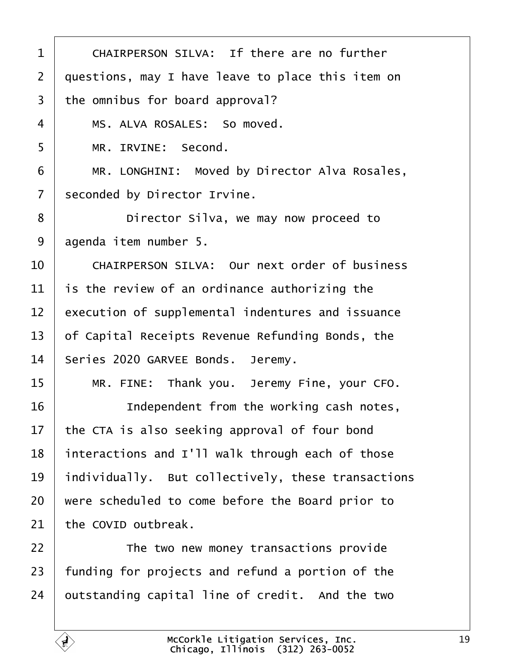<span id="page-18-0"></span>

| 1              | CHAIRPERSON SILVA: If there are no further           |  |
|----------------|------------------------------------------------------|--|
| $\overline{2}$ | questions, may I have leave to place this item on    |  |
| 3              | the omnibus for board approval?                      |  |
| 4              | MS. ALVA ROSALES: So moved.                          |  |
| 5              | MR. IRVINE: Second.                                  |  |
| 6              | MR. LONGHINI: Moved by Director Alva Rosales,        |  |
| $\overline{7}$ | seconded by Director Irvine.                         |  |
| 8              | Director Silva, we may now proceed to                |  |
| 9              | agenda item number 5.                                |  |
| 10             | <b>CHAIRPERSON SILVA: Our next order of business</b> |  |
| 11             | is the review of an ordinance authorizing the        |  |
| 12             | execution of supplemental indentures and issuance    |  |
| 13             | of Capital Receipts Revenue Refunding Bonds, the     |  |
| 14             | Series 2020 GARVEE Bonds. Jeremy.                    |  |
| 15             | MR. FINE: Thank you. Jeremy Fine, your CFO.          |  |
| 16             | Independent from the working cash notes,             |  |
| 17             | the CTA is also seeking approval of four bond        |  |
| 18             | interactions and I'll walk through each of those     |  |
| 19             | individually. But collectively, these transactions   |  |
| 20             | were scheduled to come before the Board prior to     |  |
| 21             | the COVID outbreak.                                  |  |
| 22             | The two new money transactions provide               |  |
| 23             | funding for projects and refund a portion of the     |  |
| 24             | putstanding capital line of credit. And the two      |  |
|                |                                                      |  |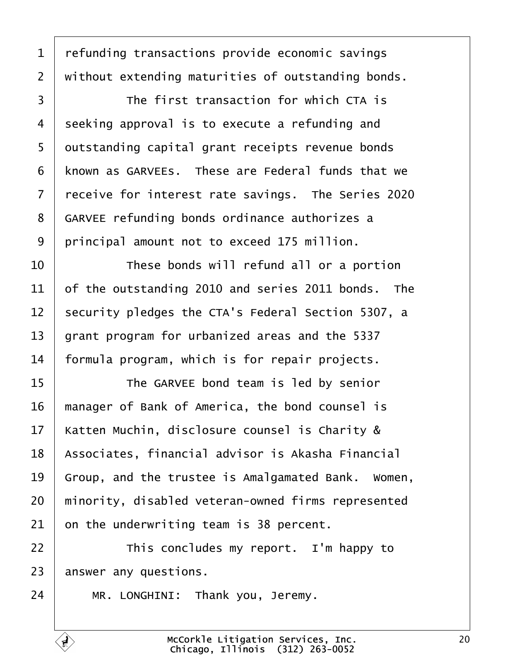<span id="page-19-0"></span>

| 1              | refunding transactions provide economic savings      |
|----------------|------------------------------------------------------|
| $\overline{2}$ | without extending maturities of outstanding bonds.   |
| 3              | The first transaction for which CTA is               |
| 4              | seeking approval is to execute a refunding and       |
| 5              | dutstanding capital grant receipts revenue bonds     |
| 6              | known as GARVEEs. These are Federal funds that we    |
| $\overline{7}$ | receive for interest rate savings. The Series 2020   |
| 8              | <b>GARVEE refunding bonds ordinance authorizes a</b> |
| 9              | principal amount not to exceed 175 million.          |
| 10             | These bonds will refund all or a portion             |
| 11             | of the outstanding 2010 and series 2011 bonds. The   |
| 12             | security pledges the CTA's Federal Section 5307, a   |
| 13             | grant program for urbanized areas and the 5337       |
| 14             | formula program, which is for repair projects.       |
| 15             | The GARVEE bond team is led by senior                |
| 16             | manager of Bank of America, the bond counsel is      |
| 17             | Katten Muchin, disclosure counsel is Charity &       |
| 18             | Associates, financial advisor is Akasha Financial    |
| 19             | Group, and the trustee is Amalgamated Bank. Women,   |
| 20             | minority, disabled veteran-owned firms represented   |
| 21             | on the underwriting team is 38 percent.              |
| 22             | This concludes my report. I'm happy to               |
| 23             | answer any questions.                                |
| 24             | MR. LONGHINI: Thank you, Jeremy.                     |

Г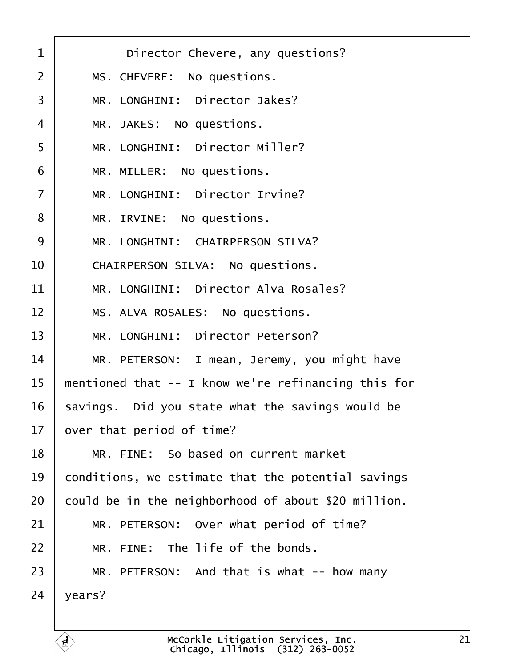<span id="page-20-0"></span>

| $\mathbf 1$    | Director Chevere, any questions?                    |
|----------------|-----------------------------------------------------|
| $\overline{2}$ | MS. CHEVERE: No questions.                          |
| 3              | MR. LONGHINI: Director Jakes?                       |
| $\overline{4}$ | MR. JAKES: No questions.                            |
| 5              | MR. LONGHINI: Director Miller?                      |
| 6              | MR. MILLER: No questions.                           |
| $\overline{7}$ | MR. LONGHINI: Director Irvine?                      |
| 8              | MR. IRVINE: No questions.                           |
| 9              | MR. LONGHINI: CHAIRPERSON SILVA?                    |
| 10             | CHAIRPERSON SILVA: No questions.                    |
| 11             | MR. LONGHINI: Director Alva Rosales?                |
| 12             | MS. ALVA ROSALES: No questions.                     |
| 13             | MR. LONGHINI: Director Peterson?                    |
| 14             | MR. PETERSON: I mean, Jeremy, you might have        |
| 15             | mentioned that -- I know we're refinancing this for |
| 16             | savings. Did you state what the savings would be    |
| 17             | over that period of time?                           |
| 18             | MR. FINE: So based on current market                |
| 19             | conditions, we estimate that the potential savings  |
| 20             | could be in the neighborhood of about \$20 million. |
| 21             | MR. PETERSON: Over what period of time?             |
| 22             | MR. FINE: The life of the bonds.                    |
| 23             | MR. PETERSON: And that is what -- how many          |
| 24             | years?                                              |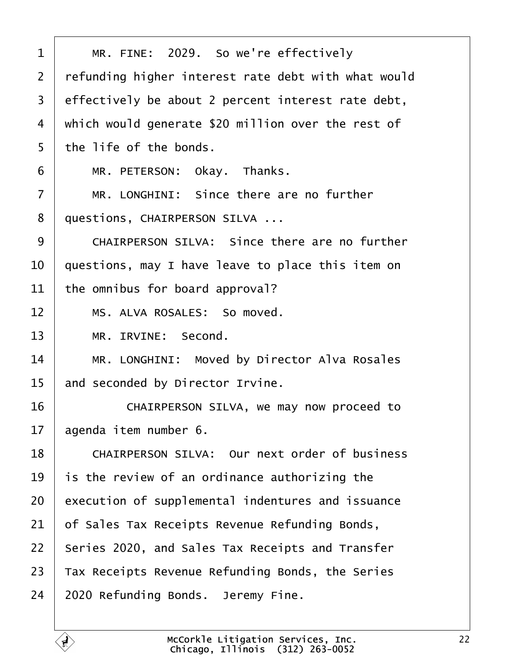<span id="page-21-0"></span>

| 1              | MR. FINE: 2029. So we're effectively                |
|----------------|-----------------------------------------------------|
| $\overline{2}$ | refunding higher interest rate debt with what would |
| 3              | effectively be about 2 percent interest rate debt,  |
| 4              | which would generate \$20 million over the rest of  |
| 5              | the life of the bonds.                              |
| 6              | MR. PETERSON: Okay. Thanks.                         |
| $\overline{7}$ | MR. LONGHINI: Since there are no further            |
| 8              | questions, CHAIRPERSON SILVA                        |
| 9              | CHAIRPERSON SILVA: Since there are no further       |
| 10             | questions, may I have leave to place this item on   |
| 11             | the omnibus for board approval?                     |
| 12             | MS. ALVA ROSALES: So moved.                         |
| 13             | MR. IRVINE: Second.                                 |
| 14             | MR. LONGHINI: Moved by Director Alva Rosales        |
| 15             | and seconded by Director Irvine.                    |
| 16             | CHAIRPERSON SILVA, we may now proceed to            |
| 17             | agenda item number 6.                               |
| 18             | CHAIRPERSON SILVA: Our next order of business       |
| 19             | is the review of an ordinance authorizing the       |
| 20             | execution of supplemental indentures and issuance   |
| 21             | of Sales Tax Receipts Revenue Refunding Bonds,      |
| 22             | Series 2020, and Sales Tax Receipts and Transfer    |
| 23             | Tax Receipts Revenue Refunding Bonds, the Series    |
| 24             | 2020 Refunding Bonds. Jeremy Fine.                  |
|                |                                                     |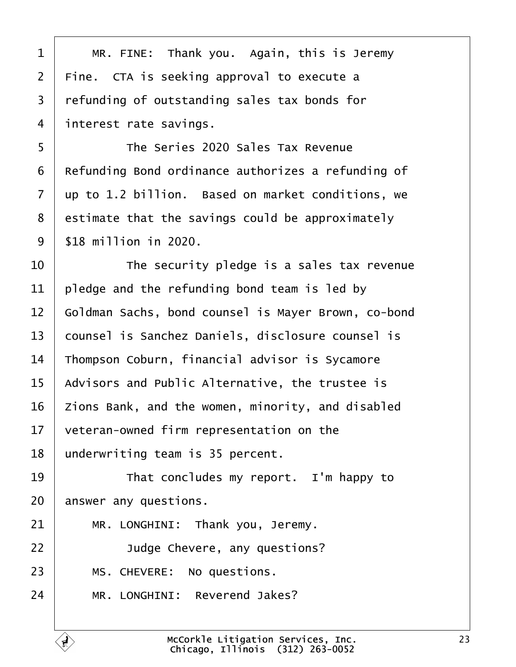<span id="page-22-0"></span>

| 1               | MR. FINE: Thank you. Again, this is Jeremy          |
|-----------------|-----------------------------------------------------|
| 2               | Fine. CTA is seeking approval to execute a          |
| 3               | refunding of outstanding sales tax bonds for        |
| 4               | interest rate savings.                              |
| 5               | The Series 2020 Sales Tax Revenue                   |
| 6               | Refunding Bond ordinance authorizes a refunding of  |
| 7               | up to 1.2 billion. Based on market conditions, we   |
| 8               | estimate that the savings could be approximately    |
| 9               | \$18 million in 2020.                               |
| 10              | The security pledge is a sales tax revenue          |
| 11              | pledge and the refunding bond team is led by        |
| 12              | Goldman Sachs, bond counsel is Mayer Brown, co-bond |
| 13              | counsel is Sanchez Daniels, disclosure counsel is   |
| 14              | Thompson Coburn, financial advisor is Sycamore      |
| 15              | Advisors and Public Alternative, the trustee is     |
| 16              | Zions Bank, and the women, minority, and disabled   |
| 17 <sub>1</sub> | veteran-owned firm representation on the            |
| 18              | underwriting team is 35 percent.                    |
| 19              | That concludes my report. I'm happy to              |
| 20              | answer any questions.                               |
| 21              | MR. LONGHINI: Thank you, Jeremy.                    |
| 22              | Judge Chevere, any questions?                       |
| 23              | MS. CHEVERE: No questions.                          |
| 24              | MR. LONGHINI: Reverend Jakes?                       |
|                 |                                                     |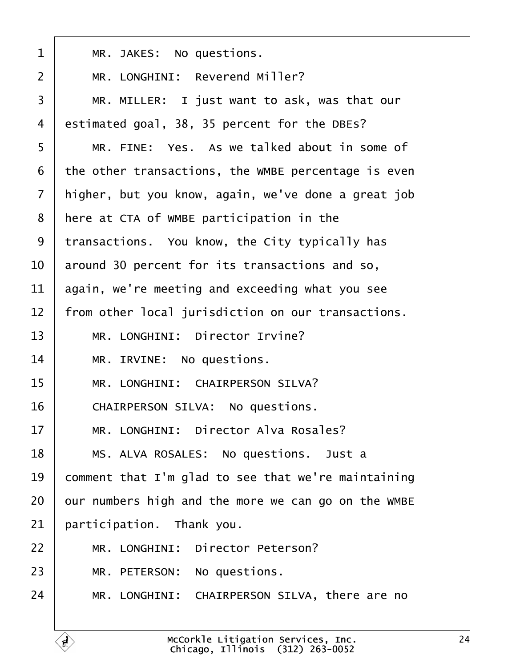<span id="page-23-0"></span>

| $\mathbf 1$    | MR. JAKES: No questions.                            |
|----------------|-----------------------------------------------------|
| $\overline{2}$ | MR. LONGHINI: Reverend Miller?                      |
| 3              | MR. MILLER: I just want to ask, was that our        |
| 4              | estimated goal, 38, 35 percent for the DBEs?        |
| 5              | MR. FINE: Yes. As we talked about in some of        |
| 6              | the other transactions, the WMBE percentage is even |
| $\overline{7}$ | higher, but you know, again, we've done a great job |
| 8              | here at CTA of WMBE participation in the            |
| 9              | transactions. You know, the City typically has      |
| 10             | around 30 percent for its transactions and so,      |
| 11             | again, we're meeting and exceeding what you see     |
| 12             | from other local jurisdiction on our transactions.  |
| 13             | MR. LONGHINI: Director Irvine?                      |
| 14             | MR. IRVINE: No questions.                           |
| 15             | MR. LONGHINI: CHAIRPERSON SILVA?                    |
| 16             | CHAIRPERSON SILVA: No questions.                    |
| 17             | MR. LONGHINI: Director Alva Rosales?                |
| 18             | MS. ALVA ROSALES: No questions. Just a              |
| 19             | comment that I'm glad to see that we're maintaining |
| 20             | bur numbers high and the more we can go on the WMBE |
| 21             | participation. Thank you.                           |
| 22             | MR. LONGHINI: Director Peterson?                    |
| 23             | MR. PETERSON: No questions.                         |
| 24             | MR. LONGHINI: CHAIRPERSON SILVA, there are no       |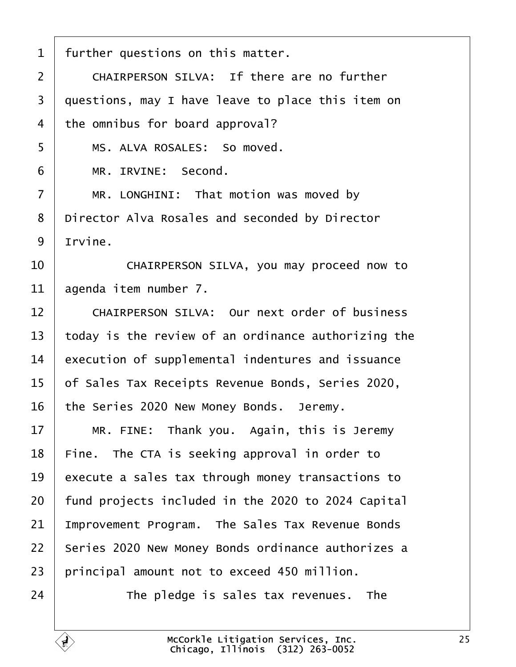<span id="page-24-0"></span>

| 1              | further questions on this matter.                    |
|----------------|------------------------------------------------------|
| $\overline{2}$ | CHAIRPERSON SILVA: If there are no further           |
| 3              | questions, may I have leave to place this item on    |
| 4              | the omnibus for board approval?                      |
| 5              | MS. ALVA ROSALES: So moved.                          |
| 6              | MR. IRVINE: Second.                                  |
| $\overline{7}$ | MR. LONGHINI: That motion was moved by               |
| 8              | Director Alva Rosales and seconded by Director       |
| 9              | Irvine.                                              |
| 10             | CHAIRPERSON SILVA, you may proceed now to            |
| 11             | agenda item number 7.                                |
| 12             | <b>CHAIRPERSON SILVA: Our next order of business</b> |
| 13             | today is the review of an ordinance authorizing the  |
| 14             | execution of supplemental indentures and issuance    |
| 15             | of Sales Tax Receipts Revenue Bonds, Series 2020,    |
| 16             | the Series 2020 New Money Bonds. Jeremy.             |
| 17             | MR. FINE: Thank you. Again, this is Jeremy           |
| 18             | Fine. The CTA is seeking approval in order to        |
| 19             | execute a sales tax through money transactions to    |
| 20             | fund projects included in the 2020 to 2024 Capital   |
| 21             | Improvement Program. The Sales Tax Revenue Bonds     |
| 22             | Series 2020 New Money Bonds ordinance authorizes a   |
| 23             | principal amount not to exceed 450 million.          |
| 24             | The pledge is sales tax revenues. The                |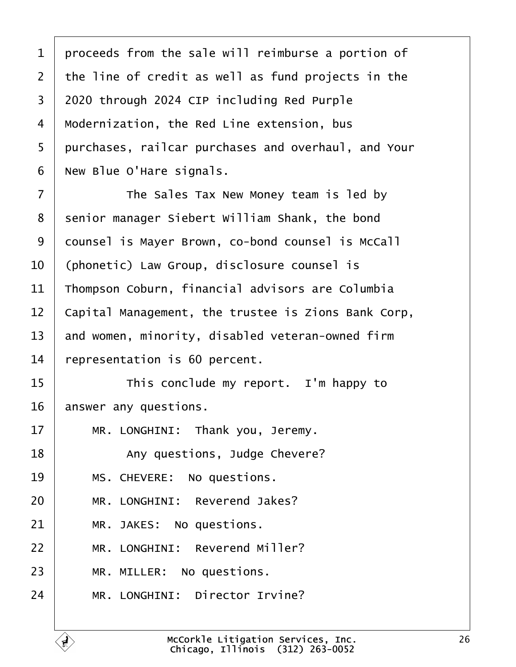<span id="page-25-0"></span>

| 1  | proceeds from the sale will reimburse a portion of  |
|----|-----------------------------------------------------|
| 2  | the line of credit as well as fund projects in the  |
| 3  | 2020 through 2024 CIP including Red Purple          |
| 4  | Modernization, the Red Line extension, bus          |
| 5  | purchases, railcar purchases and overhaul, and Your |
| 6  | New Blue O'Hare signals.                            |
| 7  | The Sales Tax New Money team is led by              |
| 8  | senior manager Siebert William Shank, the bond      |
| 9  | dounsel is Mayer Brown, co-bond counsel is McCall   |
| 10 | (phonetic) Law Group, disclosure counsel is         |
| 11 | Thompson Coburn, financial advisors are Columbia    |
| 12 | Capital Management, the trustee is Zions Bank Corp, |
| 13 | and women, minority, disabled veteran-owned firm    |
| 14 | representation is 60 percent.                       |
| 15 | This conclude my report. I'm happy to               |
| 16 | answer any questions.                               |
| 17 | MR. LONGHINI: Thank you, Jeremy.                    |
| 18 | Any questions, Judge Chevere?                       |
| 19 | MS. CHEVERE: No questions.                          |
| 20 | MR. LONGHINI: Reverend Jakes?                       |
| 21 | MR. JAKES: No questions.                            |
| 22 | MR. LONGHINI: Reverend Miller?                      |
| 23 | MR. MILLER: No questions.                           |
| 24 | MR. LONGHINI: Director Irvine?                      |
|    |                                                     |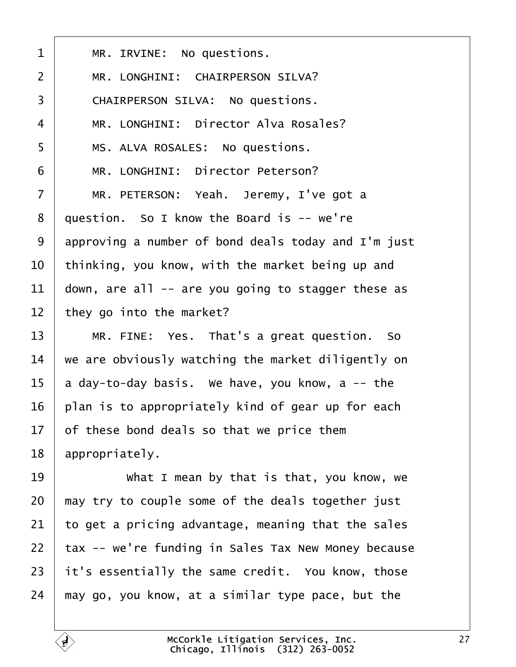<span id="page-26-0"></span>

| 1              | MR. IRVINE: No questions.                           |
|----------------|-----------------------------------------------------|
| 2              | <b>MR. LONGHINI: CHAIRPERSON SILVA?</b>             |
| 3              | <b>CHAIRPERSON SILVA: No questions.</b>             |
| 4              | MR. LONGHINI: Director Alva Rosales?                |
| 5              | MS. ALVA ROSALES: No questions.                     |
| 6              | MR. LONGHINI: Director Peterson?                    |
| $\overline{7}$ | MR. PETERSON: Yeah. Jeremy, I've got a              |
| 8              | question. So I know the Board is -- we're           |
| 9              | approving a number of bond deals today and I'm just |
| 10             | thinking, you know, with the market being up and    |
| 11             | down, are all -- are you going to stagger these as  |
| 12             | they go into the market?                            |
| 13             | MR. FINE: Yes. That's a great question. So          |
| 14             | we are obviously watching the market diligently on  |
| 15             | a day-to-day basis. We have, you know, a -- the     |
| 16             | plan is to appropriately kind of gear up for each   |
| 17             | of these bond deals so that we price them           |
| 18             | appropriately.                                      |
| 19             | What I mean by that is that, you know, we           |
| 20             | may try to couple some of the deals together just   |
| 21             | to get a pricing advantage, meaning that the sales  |
| 22             | tax -- we're funding in Sales Tax New Money because |
| 23             | it's essentially the same credit. You know, those   |
| 24             | may go, you know, at a similar type pace, but the   |
|                |                                                     |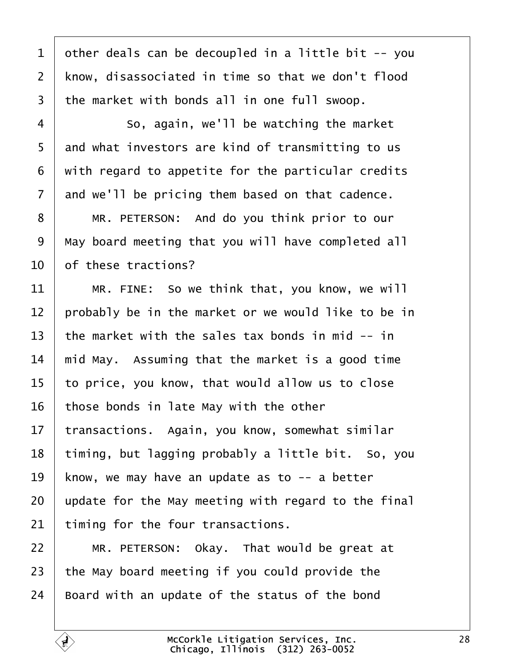<span id="page-27-0"></span>1 dther deals can be decoupled in a little bit -- you 2 know, disassociated in time so that we don't flood 3 the market with bonds all in one full swoop.  $4 \mid$  So, again, we'll be watching the market 5 and what investors are kind of transmitting to us ·6· ·with regard to appetite for the particular credits 7 and we'll be pricing them based on that cadence. 8 | MR. PETERSON: And do you think prior to our 9 May board meeting that you will have completed all 10 of these tractions? 11  $\parallel$  MR. FINE: So we think that, you know, we will 12 brobably be in the market or we would like to be in 13 the market with the sales tax bonds in mid -- in 14 mid May. Assuming that the market is a good time 15 to price, you know, that would allow us to close 16 those bonds in late May with the other 17 transactions. Again, you know, somewhat similar 18 timing, but lagging probably a little bit. So, you 19 know, we may have an update as to -- a better 20 update for the May meeting with regard to the final 21 timing for the four transactions.  $22$  | MR. PETERSON: Okay. That would be great at 23 the May board meeting if you could provide the 24 Board with an update of the status of the bond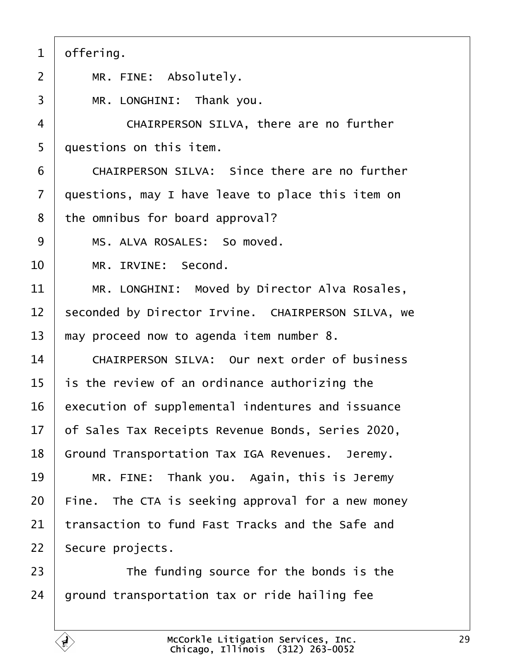<span id="page-28-0"></span>

| 1              | offering.                                            |
|----------------|------------------------------------------------------|
| $\overline{2}$ | MR. FINE: Absolutely.                                |
| 3              | MR. LONGHINI: Thank you.                             |
| 4              | CHAIRPERSON SILVA, there are no further              |
| 5              | duestions on this item.                              |
| 6              | <b>CHAIRPERSON SILVA: Since there are no further</b> |
| $\overline{7}$ | questions, may I have leave to place this item on    |
| 8              | the omnibus for board approval?                      |
| 9              | MS. ALVA ROSALES: So moved.                          |
| 10             | MR. IRVINE: Second.                                  |
| 11             | MR. LONGHINI: Moved by Director Alva Rosales,        |
| 12             | seconded by Director Irvine. CHAIRPERSON SILVA, we   |
| 13             | may proceed now to agenda item number 8.             |
| 14             | <b>CHAIRPERSON SILVA: Our next order of business</b> |
| 15             | is the review of an ordinance authorizing the        |
| 16             | execution of supplemental indentures and issuance    |
| 17             | of Sales Tax Receipts Revenue Bonds, Series 2020,    |
| 18             | Ground Transportation Tax IGA Revenues. Jeremy.      |
| 19             | MR. FINE: Thank you. Again, this is Jeremy           |
| 20             | Fine. The CTA is seeking approval for a new money    |
| 21             | transaction to fund Fast Tracks and the Safe and     |
| 22             | Secure projects.                                     |
| 23             | The funding source for the bonds is the              |
| 24             | ground transportation tax or ride hailing fee        |
|                |                                                      |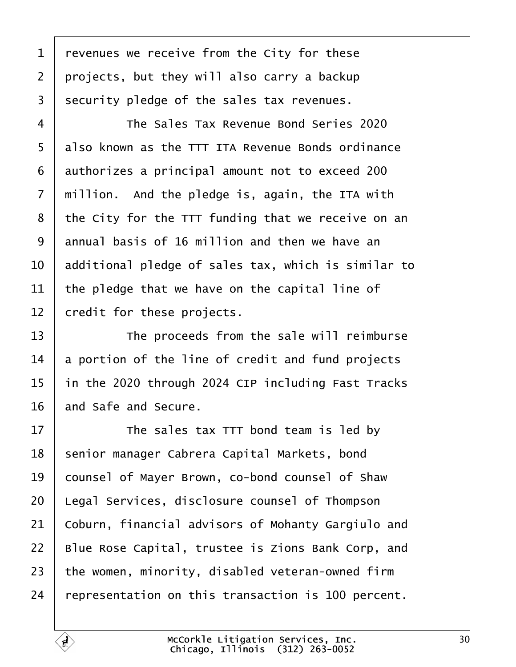<span id="page-29-0"></span>

| 1              | revenues we receive from the City for these         |
|----------------|-----------------------------------------------------|
| $\overline{2}$ | projects, but they will also carry a backup         |
| 3              | security pledge of the sales tax revenues.          |
| 4              | The Sales Tax Revenue Bond Series 2020              |
| 5              | also known as the TTT ITA Revenue Bonds ordinance   |
| 6              | authorizes a principal amount not to exceed 200     |
| $\overline{7}$ | million. And the pledge is, again, the ITA with     |
| 8              | the City for the TTT funding that we receive on an  |
| 9              | annual basis of 16 million and then we have an      |
| 10             | additional pledge of sales tax, which is similar to |
| 11             | the pledge that we have on the capital line of      |
| 12             | credit for these projects.                          |
| 13             | The proceeds from the sale will reimburse           |
| 14             | a portion of the line of credit and fund projects   |
| 15             | in the 2020 through 2024 CIP including Fast Tracks  |
| 16             | and Safe and Secure.                                |
| 17             | The sales tax TTT bond team is led by               |
| 18             | senior manager Cabrera Capital Markets, bond        |
| 19             | counsel of Mayer Brown, co-bond counsel of Shaw     |
| 20             | egal Services, disclosure counsel of Thompson       |
| 21             | Coburn, financial advisors of Mohanty Gargiulo and  |
| 22             | Blue Rose Capital, trustee is Zions Bank Corp, and  |
| 23             | the women, minority, disabled veteran-owned firm    |
| 24             | representation on this transaction is 100 percent.  |
|                |                                                     |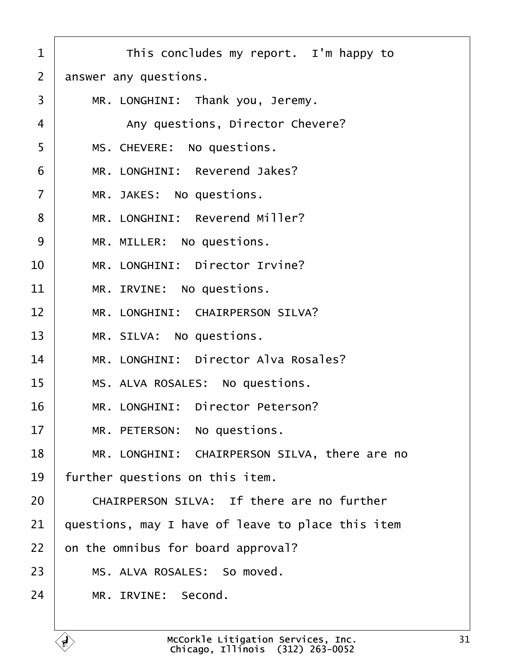<span id="page-30-0"></span>

| 1              | This concludes my report. I'm happy to            |
|----------------|---------------------------------------------------|
| 2              | answer any questions.                             |
| 3              | MR. LONGHINI: Thank you, Jeremy.                  |
| 4              | Any questions, Director Chevere?                  |
| 5              | MS. CHEVERE: No questions.                        |
| 6              | MR. LONGHINI: Reverend Jakes?                     |
| $\overline{7}$ | MR. JAKES: No questions.                          |
| 8              | MR. LONGHINI: Reverend Miller?                    |
| 9              | MR. MILLER: No questions.                         |
| 10             | MR. LONGHINI: Director Irvine?                    |
| 11             | MR. IRVINE: No questions.                         |
| 12             | MR. LONGHINI: CHAIRPERSON SILVA?                  |
| 13             | MR. SILVA: No questions.                          |
| 14             | MR. LONGHINI: Director Alva Rosales?              |
| 15             | MS. ALVA ROSALES: No questions.                   |
| 16             | MR. LONGHINI: Director Peterson?                  |
| 17             | MR. PETERSON: No questions.                       |
| 18             | MR. LONGHINI: CHAIRPERSON SILVA, there are no     |
| 19             | further questions on this item.                   |
| 20             | CHAIRPERSON SILVA: If there are no further        |
| 21             | questions, may I have of leave to place this item |
| 22             | on the omnibus for board approval?                |
| 23             | MS. ALVA ROSALES: So moved.                       |
| 24             | MR. IRVINE: Second.                               |
|                |                                                   |

 $\Gamma$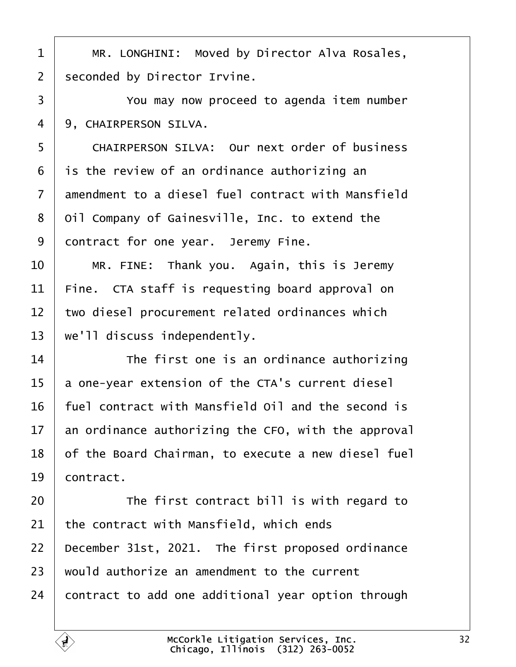<span id="page-31-0"></span>

|  |  | 1   MR. LONGHINI: Moved by Director Alva Rosales, |
|--|--|---------------------------------------------------|
|--|--|---------------------------------------------------|

- 2 seconded by Director Irvine.
- 3 **Fig.** You may now proceed to agenda item number
- 4 9. CHAIRPERSON SILVA.
- 5 CHAIRPERSON SILVA: Our next order of business
- 6 is the review of an ordinance authorizing an
- 7 amendment to a diesel fuel contract with Mansfield
- 8 Oil Company of Gainesville, Inc. to extend the
- 9 dontract for one year. Jeremy Fine.
- $10$  | MR. FINE: Thank you. Again, this is Jeremy
- 11 Fine. CTA staff is requesting board approval on
- 12 two diesel procurement related ordinances which
- 13 we'll discuss independently.
- $14$  The first one is an ordinance authorizing
- 15 a one-year extension of the CTA's current diesel
- 16 fuel contract with Mansfield Oil and the second is
- 17 an ordinance authorizing the CFO, with the approval
- 18 of the Board Chairman, to execute a new diesel fuel
- 19 **contract.**
- $20$   $\parallel$  The first contract bill is with regard to
- 21 the contract with Mansfield, which ends
- 22 December 31st, 2021. The first proposed ordinance
- 23 would authorize an amendment to the current
- 24 **contract to add one additional year option through**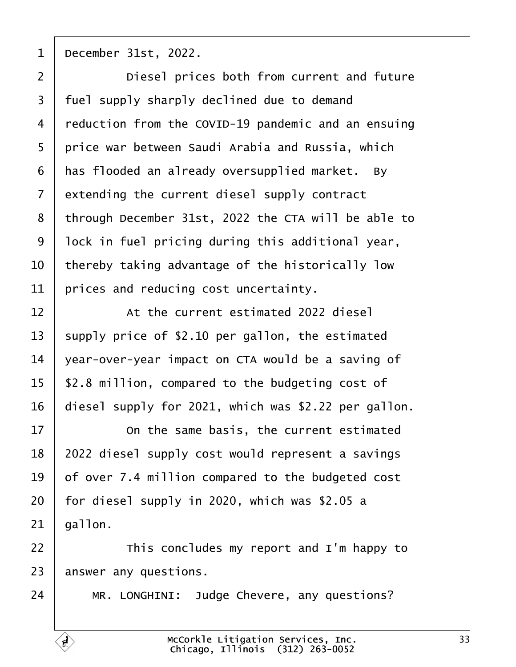<span id="page-32-0"></span>1 **December 31st, 2022.** 

| $\overline{2}$ | Diesel prices both from current and future           |
|----------------|------------------------------------------------------|
| 3              | fuel supply sharply declined due to demand           |
| 4              | reduction from the COVID-19 pandemic and an ensuing  |
| 5              | price war between Saudi Arabia and Russia, which     |
| 6              | has flooded an already oversupplied market. By       |
| $\overline{7}$ | extending the current diesel supply contract         |
| 8              | through December 31st, 2022 the CTA will be able to  |
| 9              | lock in fuel pricing during this additional year,    |
| 10             | thereby taking advantage of the historically low     |
| 11             | prices and reducing cost uncertainty.                |
| 12             | At the current estimated 2022 diesel                 |
| 13             | supply price of \$2.10 per gallon, the estimated     |
| 14             | year-over-year impact on CTA would be a saving of    |
| 15             | \$2.8 million, compared to the budgeting cost of     |
| 16             | diesel supply for 2021, which was \$2.22 per gallon. |
| 17             | On the same basis, the current estimated             |
| 18             | 2022 diesel supply cost would represent a savings    |
| 19             | of over 7.4 million compared to the budgeted cost    |
| 20             | for diesel supply in 2020, which was \$2.05 a        |
| 21             | gallon.                                              |
| 22             | This concludes my report and I'm happy to            |
| 23             | answer any questions.                                |
| 24             | MR. LONGHINI: Judge Chevere, any questions?          |
|                |                                                      |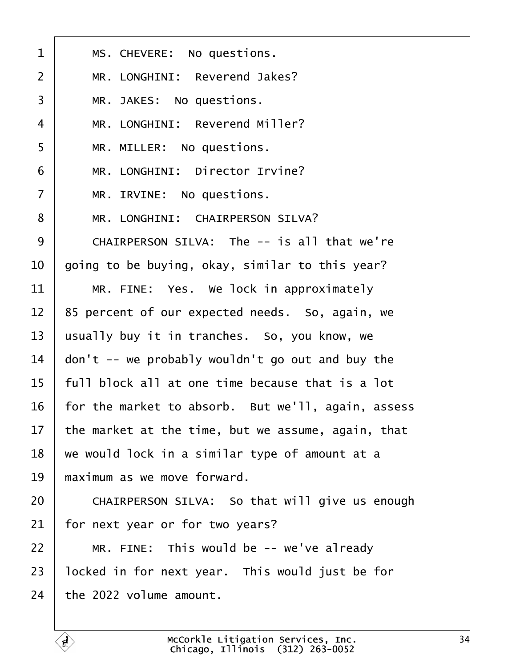<span id="page-33-0"></span>

| 1              | MS. CHEVERE: No questions.                         |
|----------------|----------------------------------------------------|
| 2              | MR. LONGHINI: Reverend Jakes?                      |
| 3              | MR. JAKES: No questions.                           |
| 4              | MR. LONGHINI: Reverend Miller?                     |
| 5              | MR. MILLER: No questions.                          |
| 6              | MR. LONGHINI: Director Irvine?                     |
| $\overline{7}$ | MR. IRVINE: No questions.                          |
| 8              | MR. LONGHINI: CHAIRPERSON SILVA?                   |
| 9              | CHAIRPERSON SILVA: The -- is all that we're        |
| 10             | going to be buying, okay, similar to this year?    |
| 11             | MR. FINE: Yes. We lock in approximately            |
| 12             | 85 percent of our expected needs. So, again, we    |
| 13             | usually buy it in tranches. So, you know, we       |
| 14             | don't -- we probably wouldn't go out and buy the   |
| 15             | full block all at one time because that is a lot   |
| 16             | for the market to absorb. But we'll, again, assess |
| 17             | the market at the time, but we assume, again, that |
| 18             | we would lock in a similar type of amount at a     |
| 19             | maximum as we move forward.                        |
| 20             | CHAIRPERSON SILVA: So that will give us enough     |
| 21             | for next year or for two years?                    |
| 22             | MR. FINE: This would be -- we've already           |
| 23             | locked in for next year. This would just be for    |
| 24             | the 2022 volume amount.                            |
|                |                                                    |

 $\overline{1}$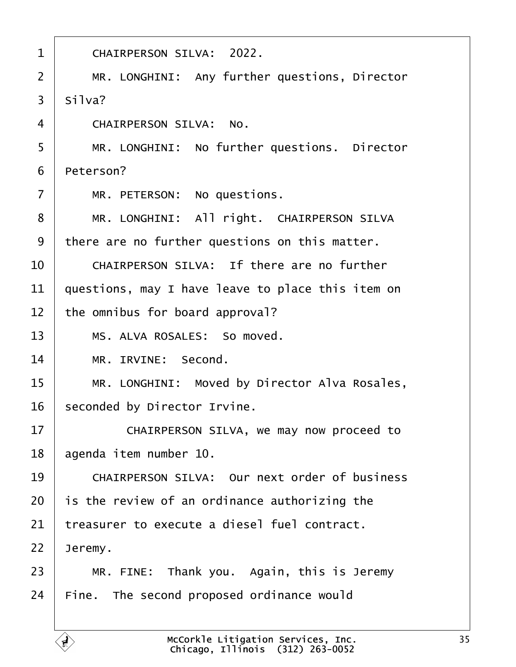- <span id="page-34-0"></span>1 | CHAIRPERSON SILVA: 2022.
- 2 | MR. LONGHINI: Any further questions, Director
- $3.$  Silva?
- 4 CHAIRPERSON SILVA: No.
- 5 | MR. LONGHINI: No further questions. Director
- 6 Peterson?
- $7$  | MR. PETERSON: No questions.
- 8 | MR. LONGHINI: All right. CHAIRPERSON SILVA
- 9 there are no further questions on this matter.
- $10 \parallel$  CHAIRPERSON SILVA: If there are no further
- 11 guestions, may I have leave to place this item on
- 12 the omnibus for board approval?
- 13 | MS. ALVA ROSALES: So moved.
- 14 | MR. IRVINE: Second.
- 15 | MR. LONGHINI: Moved by Director Alva Rosales,
- 16 seconded by Director Irvine.
- 17 **CHAIRPERSON SILVA, we may now proceed to**
- 18 agenda item number 10.
- 19 CHAIRPERSON SILVA: Our next order of business
- 20 is the review of an ordinance authorizing the
- 21 treasurer to execute a diesel fuel contract.
- 22  $\sqrt{2}$  Jeremy.
- $23$  | MR. FINE: Thank you. Again, this is Jeremy
- 24 Fine. The second proposed ordinance would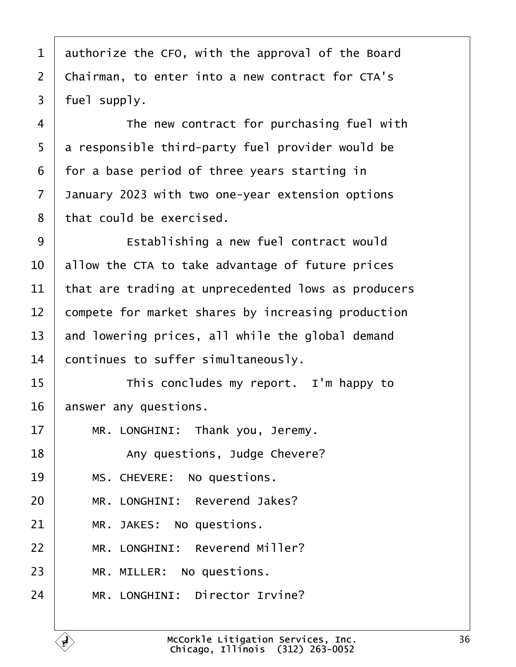<span id="page-35-0"></span>

| 1              | authorize the CFO, with the approval of the Board   |
|----------------|-----------------------------------------------------|
| $\overline{2}$ | Chairman, to enter into a new contract for CTA's    |
| 3              | fuel supply.                                        |
| 4              | The new contract for purchasing fuel with           |
| 5              | a responsible third-party fuel provider would be    |
| 6              | for a base period of three years starting in        |
| 7              | January 2023 with two one-year extension options    |
| 8              | that could be exercised.                            |
| 9              | Establishing a new fuel contract would              |
| 10             | allow the CTA to take advantage of future prices    |
| 11             | that are trading at unprecedented lows as producers |
| 12             | compete for market shares by increasing production  |
| 13             | and lowering prices, all while the global demand    |
| 14             | continues to suffer simultaneously.                 |
| 15             | This concludes my report. I'm happy to              |
| 16             | answer any questions.                               |
| 17             | MR. LONGHINI: Thank you, Jeremy.                    |
| 18             | Any questions, Judge Chevere?                       |
| 19             | MS. CHEVERE: No questions.                          |
| 20             | MR. LONGHINI: Reverend Jakes?                       |
| 21             | MR. JAKES: No questions.                            |
| 22             | MR. LONGHINI: Reverend Miller?                      |
| 23             | MR. MILLER: No questions.                           |
| 24             | MR. LONGHINI: Director Irvine?                      |
|                |                                                     |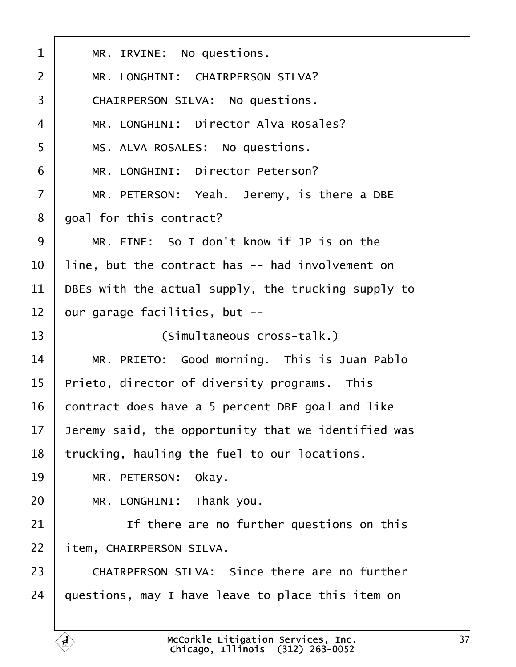<span id="page-36-0"></span>

| 1  | MR. IRVINE: No questions.                            |
|----|------------------------------------------------------|
| 2  | MR. LONGHINI: CHAIRPERSON SILVA?                     |
| 3  | CHAIRPERSON SILVA: No questions.                     |
| 4  | MR. LONGHINI: Director Alva Rosales?                 |
| 5  | MS. ALVA ROSALES: No questions.                      |
| 6  | MR. LONGHINI: Director Peterson?                     |
| 7  | MR. PETERSON: Yeah. Jeremy, is there a DBE           |
| 8  | goal for this contract?                              |
| 9  | MR. FINE: So I don't know if JP is on the            |
| 10 | line, but the contract has -- had involvement on     |
| 11 | DBEs with the actual supply, the trucking supply to  |
| 12 | pur garage facilities, but --                        |
| 13 | (Simultaneous cross-talk.)                           |
| 14 | MR. PRIETO: Good morning. This is Juan Pablo         |
| 15 | Prieto, director of diversity programs. This         |
| 16 | contract does have a 5 percent DBE goal and like     |
| 17 | Jeremy said, the opportunity that we identified was  |
| 18 | trucking, hauling the fuel to our locations.         |
| 19 | MR. PETERSON: Okay.                                  |
| 20 | MR. LONGHINI: Thank you.                             |
| 21 | If there are no further questions on this            |
| 22 | item, CHAIRPERSON SILVA.                             |
| 23 | <b>CHAIRPERSON SILVA: Since there are no further</b> |
| 24 | questions, may I have leave to place this item on    |
|    |                                                      |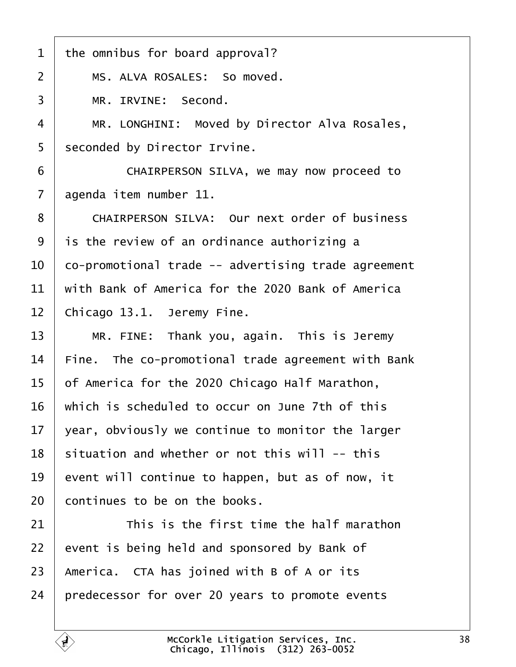<span id="page-37-0"></span>

| 1  | the omnibus for board approval?                      |
|----|------------------------------------------------------|
| 2  | MS. ALVA ROSALES: So moved.                          |
| 3  | MR. IRVINE: Second.                                  |
| 4  | MR. LONGHINI: Moved by Director Alva Rosales,        |
| 5  | seconded by Director Irvine.                         |
| 6  | CHAIRPERSON SILVA, we may now proceed to             |
| 7  | agenda item number 11.                               |
| 8  | <b>CHAIRPERSON SILVA: Our next order of business</b> |
| 9  | is the review of an ordinance authorizing a          |
| 10 | co-promotional trade -- advertising trade agreement  |
| 11 | with Bank of America for the 2020 Bank of America    |
| 12 | Chicago 13.1. Jeremy Fine.                           |
| 13 | MR. FINE: Thank you, again. This is Jeremy           |
| 14 | Fine. The co-promotional trade agreement with Bank   |
| 15 | of America for the 2020 Chicago Half Marathon,       |
| 16 | which is scheduled to occur on June 7th of this      |
| 17 | year, obviously we continue to monitor the larger    |
| 18 | situation and whether or not this will -- this       |
| 19 | event will continue to happen, but as of now, it     |
| 20 | continues to be on the books.                        |
| 21 | This is the first time the half marathon             |
| 22 | event is being held and sponsored by Bank of         |
| 23 | America. CTA has joined with B of A or its           |
| 24 | predecessor for over 20 years to promote events      |
|    |                                                      |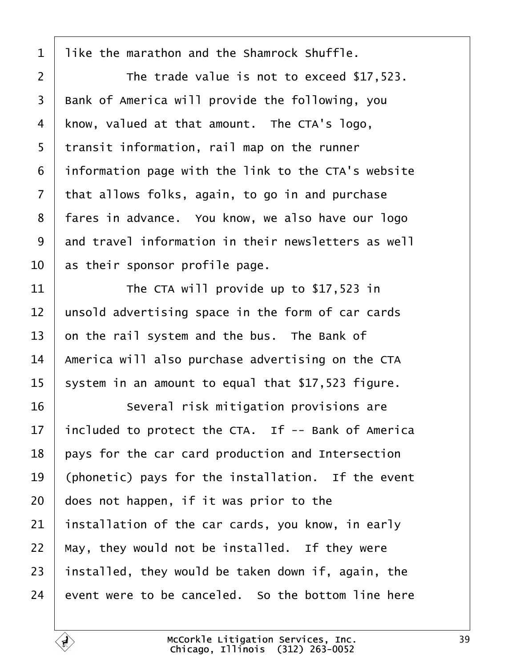<span id="page-38-0"></span>

| 1              | like the marathon and the Shamrock Shuffle.         |
|----------------|-----------------------------------------------------|
| $\overline{2}$ | The trade value is not to exceed \$17,523.          |
| 3              | Bank of America will provide the following, you     |
| 4              | know, valued at that amount. The CTA's logo,        |
| 5              | transit information, rail map on the runner         |
| 6              | information page with the link to the CTA's website |
| $\overline{7}$ | that allows folks, again, to go in and purchase     |
| 8              | fares in advance. You know, we also have our logo   |
| 9              | and travel information in their newsletters as well |
| 10             | as their sponsor profile page.                      |
| 11             | The CTA will provide up to \$17,523 in              |
| 12             | unsold advertising space in the form of car cards   |
| 13             | on the rail system and the bus. The Bank of         |
| 14             | America will also purchase advertising on the CTA   |
| 15             | system in an amount to equal that \$17,523 figure.  |
| 16             | Several risk mitigation provisions are              |
| 17             | included to protect the CTA. If -- Bank of America  |
| 18             | pays for the car card production and Intersection   |
| 19             | (phonetic) pays for the installation. If the event  |
| 20             | does not happen, if it was prior to the             |
| 21             | installation of the car cards, you know, in early   |
| 22             | May, they would not be installed. If they were      |
| 23             | installed, they would be taken down if, again, the  |
| 24             | event were to be canceled. So the bottom line here  |
|                |                                                     |

 $\sqrt{ }$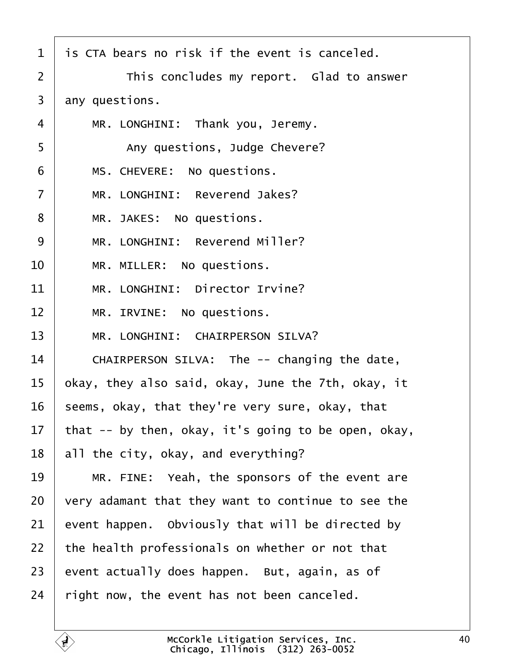<span id="page-39-0"></span>

| 1              | is CTA bears no risk if the event is canceled.      |
|----------------|-----------------------------------------------------|
| $\overline{2}$ | This concludes my report. Glad to answer            |
| 3              | any questions.                                      |
| 4              | MR. LONGHINI: Thank you, Jeremy.                    |
| 5              | Any questions, Judge Chevere?                       |
| 6              | MS. CHEVERE: No questions.                          |
| 7              | MR. LONGHINI: Reverend Jakes?                       |
| 8              | MR. JAKES: No questions.                            |
| 9              | MR. LONGHINI: Reverend Miller?                      |
| 10             | MR. MILLER: No questions.                           |
| 11             | MR. LONGHINI: Director Irvine?                      |
| 12             | MR. IRVINE: No questions.                           |
| 13             | MR. LONGHINI: CHAIRPERSON SILVA?                    |
| 14             | CHAIRPERSON SILVA: The -- changing the date,        |
| 15             | okay, they also said, okay, June the 7th, okay, it  |
| 16             | seems, okay, that they're very sure, okay, that     |
| 17             | that -- by then, okay, it's going to be open, okay, |
| 18             | all the city, okay, and everything?                 |
| 19             | MR. FINE: Yeah, the sponsors of the event are       |
| 20             | very adamant that they want to continue to see the  |
| 21             | event happen. Obviously that will be directed by    |
| 22             | the health professionals on whether or not that     |
| 23             | event actually does happen. But, again, as of       |
| 24             | right now, the event has not been canceled.         |
|                |                                                     |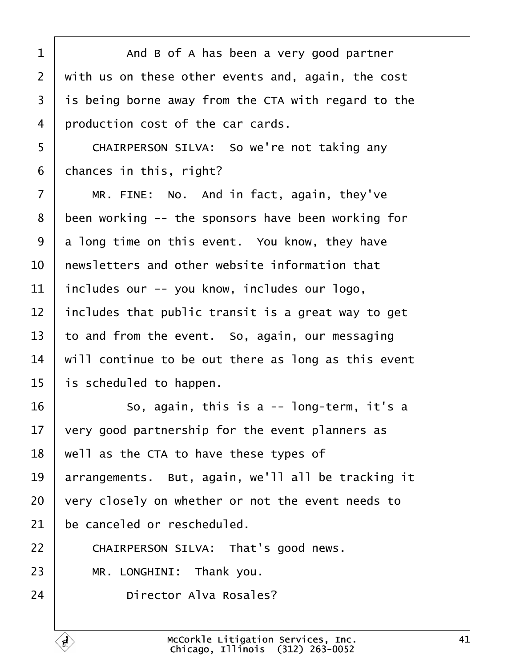<span id="page-40-0"></span>

| 1              | And B of A has been a very good partner             |
|----------------|-----------------------------------------------------|
| $\overline{2}$ | with us on these other events and, again, the cost  |
| 3              | is being borne away from the CTA with regard to the |
| 4              | production cost of the car cards.                   |
| 5              | CHAIRPERSON SILVA: So we're not taking any          |
| 6              | chances in this, right?                             |
| 7              | MR. FINE: No. And in fact, again, they've           |
| 8              | been working -- the sponsors have been working for  |
| 9              | a long time on this event. You know, they have      |
| 10             | hewsletters and other website information that      |
| 11             | includes our -- you know, includes our logo,        |
| 12             | includes that public transit is a great way to get  |
| 13             | to and from the event. So, again, our messaging     |
| 14             | will continue to be out there as long as this event |
| 15             | is scheduled to happen.                             |
| 16             | So, again, this is a -- long-term, it's a           |
| 17             | very good partnership for the event planners as     |
| 18             | well as the CTA to have these types of              |
| 19             | arrangements. But, again, we'll all be tracking it  |
| 20             | very closely on whether or not the event needs to   |
| 21             | be canceled or rescheduled.                         |
| 22             | CHAIRPERSON SILVA: That's good news.                |
| 23             | MR. LONGHINI: Thank you.                            |
| 24             | Director Alva Rosales?                              |

 $\Gamma$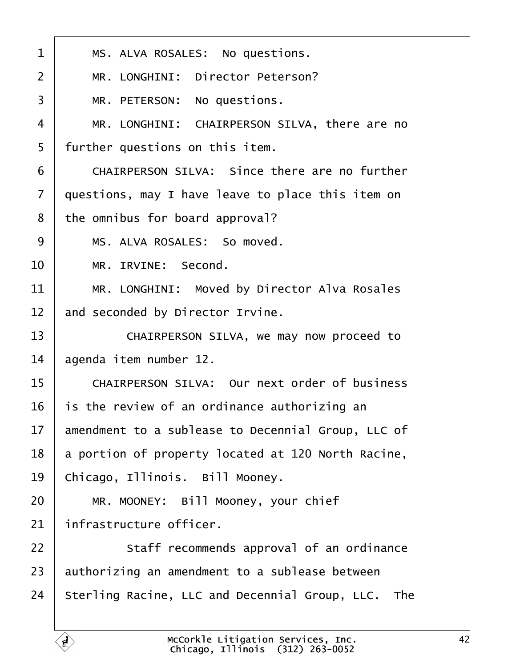<span id="page-41-0"></span>

| 1              | MS. ALVA ROSALES: No questions.                      |
|----------------|------------------------------------------------------|
| $\overline{2}$ | MR. LONGHINI: Director Peterson?                     |
| 3              | MR. PETERSON: No questions.                          |
| 4              | MR. LONGHINI: CHAIRPERSON SILVA, there are no        |
| 5              | further questions on this item.                      |
| 6              | CHAIRPERSON SILVA: Since there are no further        |
| $\overline{7}$ | questions, may I have leave to place this item on    |
| 8              | the omnibus for board approval?                      |
| 9              | MS. ALVA ROSALES: So moved.                          |
| 10             | MR. IRVINE: Second.                                  |
| 11             | MR. LONGHINI: Moved by Director Alva Rosales         |
| 12             | and seconded by Director Irvine.                     |
| 13             | CHAIRPERSON SILVA, we may now proceed to             |
| 14             | agenda item number 12.                               |
| 15             | <b>CHAIRPERSON SILVA: Our next order of business</b> |
| 16             | is the review of an ordinance authorizing an         |
| 17             | amendment to a sublease to Decennial Group, LLC of   |
| 18             | a portion of property located at 120 North Racine,   |
| 19             | Chicago, Illinois. Bill Mooney.                      |
| 20             | MR. MOONEY: Bill Mooney, your chief                  |
| 21             | infrastructure officer.                              |
| 22             | Staff recommends approval of an ordinance            |
| 23             | authorizing an amendment to a sublease between       |
| 24             | Sterling Racine, LLC and Decennial Group, LLC. The   |
|                |                                                      |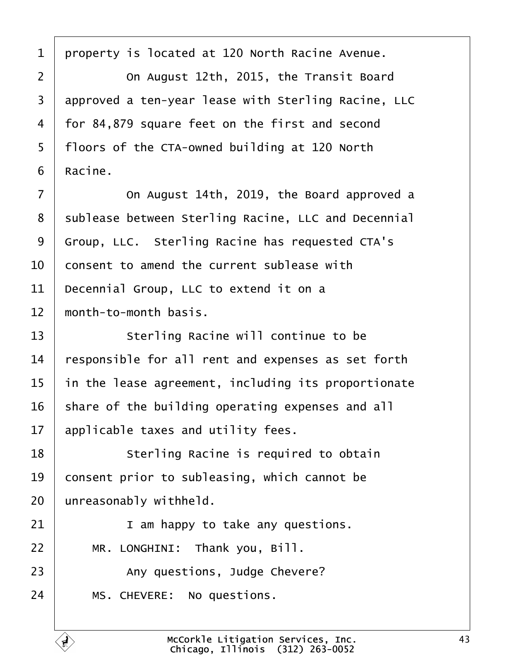<span id="page-42-0"></span>1 property is located at 120 North Racine Avenue. 2 **Comed August 12th, 2015, the Transit Board** 3 approved a ten-year lease with Sterling Racine, LLC 4 for 84,879 square feet on the first and second 5 floors of the CTA-owned building at 120 North 6 Racine. 7 **Compare 14th, 2019, the Board approved a** 8 sublease between Sterling Racine, LLC and Decennial 9 Group, LLC. Sterling Racine has requested CTA's 10 consent to amend the current sublease with 11 Decennial Group, LLC to extend it on a 12 month-to-month basis. 13 | Sterling Racine will continue to be 14 responsible for all rent and expenses as set forth 15 in the lease agreement, including its proportionate 16 share of the building operating expenses and all 17 applicable taxes and utility fees. 18 **Sterling Racine is required to obtain** 19 consent prior to subleasing, which cannot be 20 unreasonably withheld.  $21$  | **i** am happy to take any questions.  $22$  | MR. LONGHINI: Thank you, Bill. 23 | Any questions, Judge Chevere? 24 | MS. CHEVERE: No questions.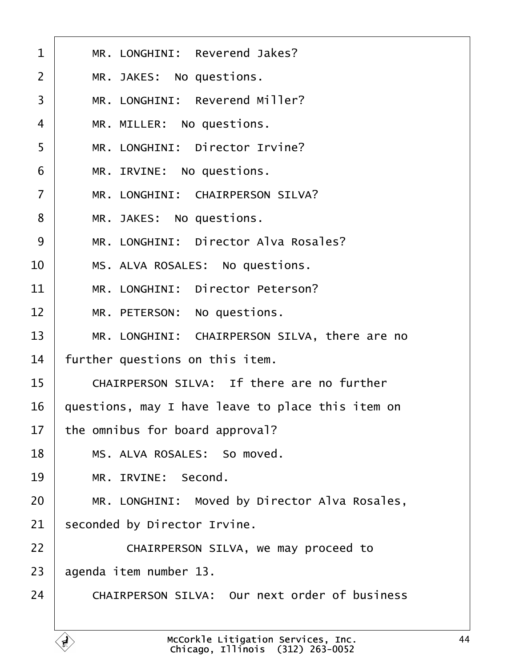<span id="page-43-0"></span>

| 1              | MR. LONGHINI: Reverend Jakes?                        |
|----------------|------------------------------------------------------|
| $\overline{2}$ | MR. JAKES: No questions.                             |
| 3              | MR. LONGHINI: Reverend Miller?                       |
| 4              | MR. MILLER: No questions.                            |
| 5              | MR. LONGHINI: Director Irvine?                       |
| 6              | MR. IRVINE: No questions.                            |
| $\overline{7}$ | MR. LONGHINI: CHAIRPERSON SILVA?                     |
| 8              | MR. JAKES: No questions.                             |
| 9              | MR. LONGHINI: Director Alva Rosales?                 |
| 10             | MS. ALVA ROSALES: No questions.                      |
| 11             | MR. LONGHINI: Director Peterson?                     |
| 12             | MR. PETERSON: No questions.                          |
| 13             | MR. LONGHINI: CHAIRPERSON SILVA, there are no        |
| 14             | further questions on this item.                      |
| 15             | CHAIRPERSON SILVA: If there are no further           |
| 16             | questions, may I have leave to place this item on    |
| 17             | the omnibus for board approval?                      |
| 18             | MS. ALVA ROSALES: So moved.                          |
| 19             | MR. IRVINE: Second.                                  |
| 20             | MR. LONGHINI: Moved by Director Alva Rosales,        |
| 21             | seconded by Director Irvine.                         |
| 22             | CHAIRPERSON SILVA, we may proceed to                 |
| 23             | agenda item number 13.                               |
| 24             | <b>CHAIRPERSON SILVA: Our next order of business</b> |
|                |                                                      |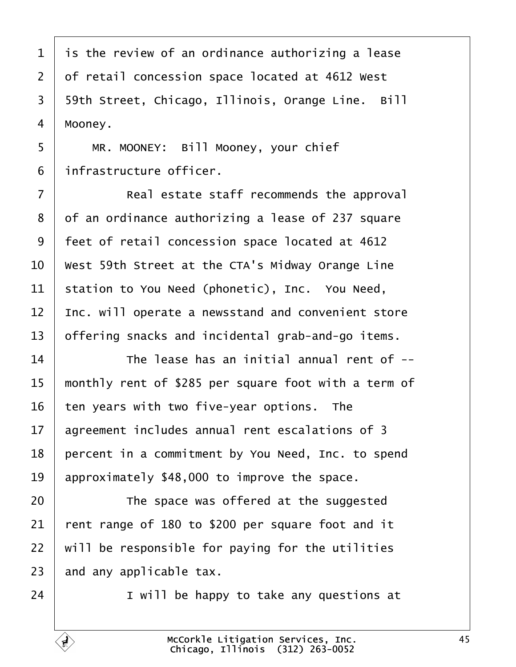<span id="page-44-0"></span>1 is the review of an ordinance authorizing a lease 2 of retail concession space located at 4612 West 3 59th Street, Chicago, Illinois, Orange Line. Bill 4 Mooney. 5 | MR. MOONEY: Bill Mooney, your chief 6 *infrastructure officer.* 7 **Real estate staff recommends the approval** 8 of an ordinance authorizing a lease of 237 square 9 feet of retail concession space located at 4612 10 West 59th Street at the CTA's Midway Orange Line 11 station to You Need (phonetic), Inc. You Need, 12 Inc. will operate a newsstand and convenient store 13 bifering snacks and incidental grab-and-go items.  $14$   $\parallel$  The lease has an initial annual rent of  $\sim$ 15 monthly rent of \$285 per square foot with a term of 16 ten years with two five-year options. The 17 agreement includes annual rent escalations of 3 18 percent in a commitment by You Need, Inc. to spend 19 approximately \$48,000 to improve the space.  $20$   $\blacksquare$  The space was offered at the suggested 21  $\cdot$  rent range of 180 to \$200 per square foot and it 22 will be responsible for paying for the utilities 23 and any applicable tax.  $24$   $\parallel$  I will be happy to take any questions at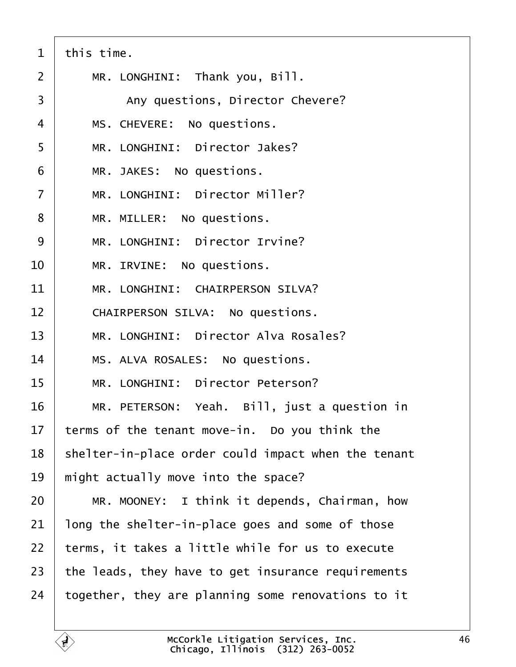<span id="page-45-0"></span>

| 1              | this time.                                          |
|----------------|-----------------------------------------------------|
| 2              | MR. LONGHINI: Thank you, Bill.                      |
| 3              | Any questions, Director Chevere?                    |
| 4              | MS. CHEVERE: No questions.                          |
| 5              | MR. LONGHINI: Director Jakes?                       |
| 6              | MR. JAKES: No questions.                            |
| $\overline{7}$ | MR. LONGHINI: Director Miller?                      |
| 8              | MR. MILLER: No questions.                           |
| 9              | MR. LONGHINI: Director Irvine?                      |
| 10             | MR. IRVINE: No questions.                           |
| 11             | MR. LONGHINI: CHAIRPERSON SILVA?                    |
| 12             | CHAIRPERSON SILVA: No questions.                    |
| 13             | MR. LONGHINI: Director Alva Rosales?                |
| 14             | MS. ALVA ROSALES: No questions.                     |
| 15             | MR. LONGHINI: Director Peterson?                    |
| 16             | MR. PETERSON: Yeah. Bill, just a question in        |
| 17             | terms of the tenant move-in. Do you think the       |
| 18             | shelter-in-place order could impact when the tenant |
| 19             | might actually move into the space?                 |
| 20             | MR. MOONEY: I think it depends, Chairman, how       |
| 21             | long the shelter-in-place goes and some of those    |
| 22             | terms, it takes a little while for us to execute    |
| 23             | the leads, they have to get insurance requirements  |
| 24             | together, they are planning some renovations to it  |
|                |                                                     |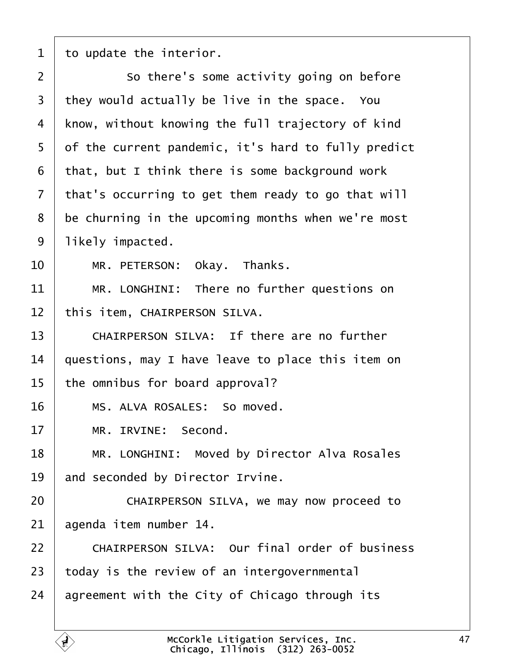<span id="page-46-0"></span>1  $\pm 0$  update the interior.

| $\overline{2}$ | So there's some activity going on before            |
|----------------|-----------------------------------------------------|
| 3              | they would actually be live in the space. You       |
| 4              | know, without knowing the full trajectory of kind   |
| 5              | of the current pandemic, it's hard to fully predict |
| 6              | that, but I think there is some background work     |
| $\overline{7}$ | that's occurring to get them ready to go that will  |
| 8              | be churning in the upcoming months when we're most  |
| 9              | likely impacted.                                    |
| 10             | MR. PETERSON: Okay. Thanks.                         |
| 11             | MR. LONGHINI: There no further questions on         |
| 12             | this item, CHAIRPERSON SILVA.                       |
| 13             | CHAIRPERSON SILVA: If there are no further          |
| 14             | questions, may I have leave to place this item on   |
| 15             | the omnibus for board approval?                     |
| 16             | MS. ALVA ROSALES: So moved.                         |
| 17             | MR. IRVINE: Second.                                 |
| 18             | MR. LONGHINI: Moved by Director Alva Rosales        |
| 19             | and seconded by Director Irvine.                    |
| 20             | CHAIRPERSON SILVA, we may now proceed to            |
| 21             | agenda item number 14.                              |
| 22             | CHAIRPERSON SILVA: Our final order of business      |
| 23             | today is the review of an intergovernmental         |
| 24             | agreement with the City of Chicago through its      |
|                |                                                     |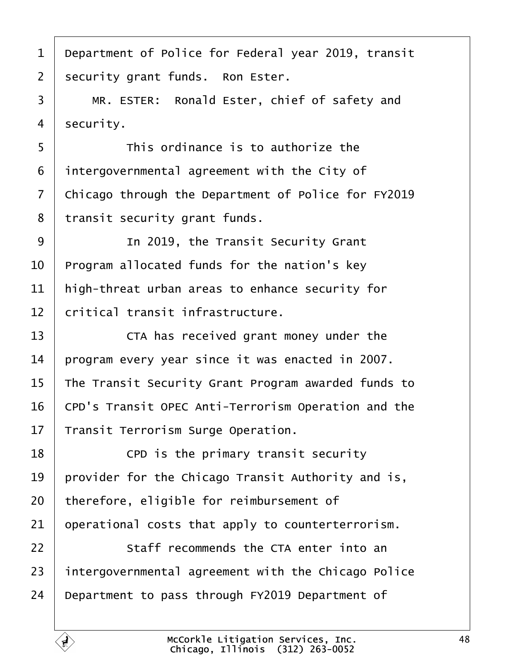- <span id="page-47-0"></span>1 Department of Police for Federal year 2019, transit
- 2 security grant funds. Ron Ester.
- 3 | MR. ESTER: Ronald Ester, chief of safety and
- 4 security.
- 5 **I** This ordinance is to authorize the
- 6 intergovernmental agreement with the City of
- 7 Chicago through the Department of Police for FY2019
- 8 transit security grant funds.
- 9 | In 2019, the Transit Security Grant
- 10 Program allocated funds for the nation's key
- 11 high-threat urban areas to enhance security for
- 12 *critical transit infrastructure.*
- 13 **CTA** has received grant money under the
- 14 program every year since it was enacted in 2007.
- 15 The Transit Security Grant Program awarded funds to
- 16 CPD's Transit OPEC Anti-Terrorism Operation and the
- 17 Transit Terrorism Surge Operation.
- $18$   $\phantom{1}$  CPD is the primary transit security
- 19 provider for the Chicago Transit Authority and is,
- 20 therefore, eligible for reimbursement of
- 21 **p**perational costs that apply to counterterrorism.
- 22 **Staff recommends the CTA enter into an**
- 23 intergovernmental agreement with the Chicago Police
- 24 Department to pass through FY2019 Department of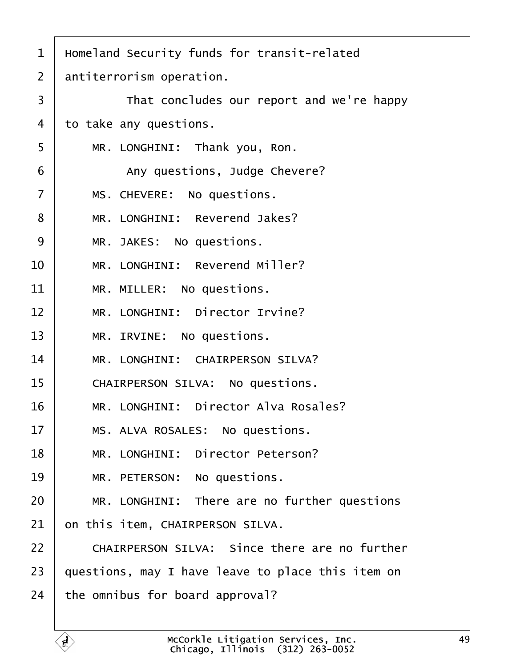<span id="page-48-0"></span>

| 1              | Homeland Security funds for transit-related          |
|----------------|------------------------------------------------------|
| 2              | antiterrorism operation.                             |
| 3              | That concludes our report and we're happy            |
| 4              | to take any questions.                               |
| 5              | MR. LONGHINI: Thank you, Ron.                        |
| 6              | Any questions, Judge Chevere?                        |
| $\overline{7}$ | MS. CHEVERE: No questions.                           |
| 8              | MR. LONGHINI: Reverend Jakes?                        |
| 9              | MR. JAKES: No questions.                             |
| 10             | MR. LONGHINI: Reverend Miller?                       |
| 11             | MR. MILLER: No questions.                            |
| 12             | MR. LONGHINI: Director Irvine?                       |
| 13             | MR. IRVINE: No questions.                            |
| 14             | MR. LONGHINI: CHAIRPERSON SILVA?                     |
| 15             | <b>CHAIRPERSON SILVA: No questions.</b>              |
| 16             | MR. LONGHINI: Director Alva Rosales?                 |
| 17             | MS. ALVA ROSALES: No questions.                      |
| 18             | MR. LONGHINI: Director Peterson?                     |
| 19             | MR. PETERSON: No questions.                          |
| 20             | MR. LONGHINI: There are no further questions         |
| 21             | on this item, CHAIRPERSON SILVA.                     |
| 22             | <b>CHAIRPERSON SILVA: Since there are no further</b> |
| 23             | questions, may I have leave to place this item on    |
| 24             | the omnibus for board approval?                      |
|                |                                                      |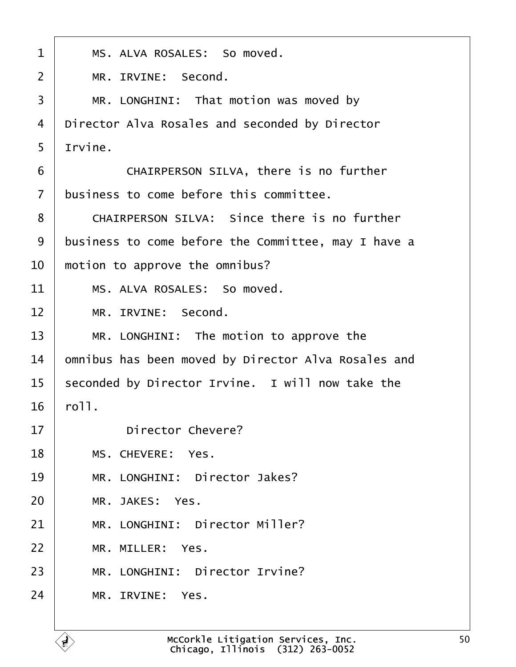<span id="page-49-0"></span>

| 1              | MS. ALVA ROSALES: So moved.                         |
|----------------|-----------------------------------------------------|
| $\overline{2}$ | MR. IRVINE: Second.                                 |
| 3              | MR. LONGHINI: That motion was moved by              |
| 4              | Director Alva Rosales and seconded by Director      |
| 5              | Irvine.                                             |
| 6              | CHAIRPERSON SILVA, there is no further              |
| $\overline{7}$ | business to come before this committee.             |
| 8              | <b>CHAIRPERSON SILVA: Since there is no further</b> |
| 9              | business to come before the Committee, may I have a |
| 10             | motion to approve the omnibus?                      |
| 11             | MS. ALVA ROSALES: So moved.                         |
| 12             | MR. IRVINE: Second.                                 |
| 13             | MR. LONGHINI: The motion to approve the             |
| 14             | omnibus has been moved by Director Alva Rosales and |
| 15             | seconded by Director Irvine. I will now take the    |
| 16             | roll.                                               |
| 17             | Director Chevere?                                   |
| 18             | MS. CHEVERE: Yes.                                   |
| 19             | MR. LONGHINI: Director Jakes?                       |
| 20             | MR. JAKES: Yes.                                     |
| 21             | MR. LONGHINI: Director Miller?                      |
| 22             | MR. MILLER: Yes.                                    |
| 23             | MR. LONGHINI: Director Irvine?                      |
| 24             | MR. IRVINE: Yes.                                    |
|                |                                                     |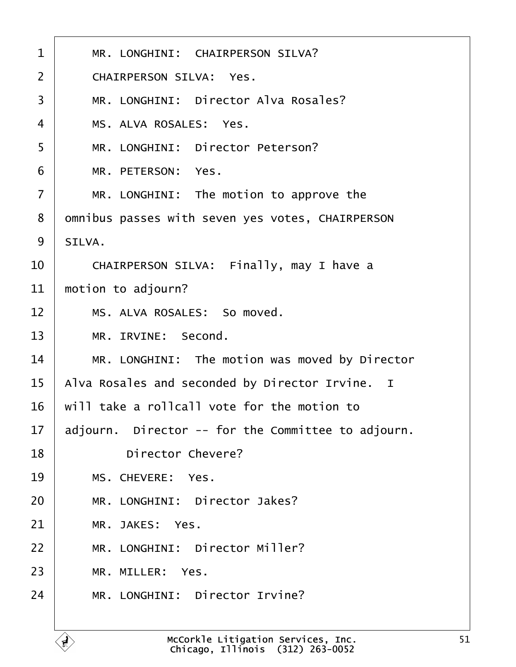<span id="page-50-0"></span>

| 1              | MR. LONGHINI: CHAIRPERSON SILVA?                   |
|----------------|----------------------------------------------------|
| $\overline{2}$ | <b>CHAIRPERSON SILVA: Yes.</b>                     |
| 3              | MR. LONGHINI: Director Alva Rosales?               |
| 4              | MS. ALVA ROSALES: Yes.                             |
| 5              | MR. LONGHINI: Director Peterson?                   |
| 6              | MR. PETERSON: Yes.                                 |
| $\overline{7}$ | MR. LONGHINI: The motion to approve the            |
| 8              | dmnibus passes with seven yes votes, CHAIRPERSON   |
| 9              | SILVA.                                             |
| 10             | CHAIRPERSON SILVA: Finally, may I have a           |
| 11             | motion to adjourn?                                 |
| 12             | MS. ALVA ROSALES: So moved.                        |
| 13             | MR. IRVINE: Second.                                |
| 14             | MR. LONGHINI: The motion was moved by Director     |
| 15             | Alva Rosales and seconded by Director Irvine. I    |
| 16             | will take a rollcall vote for the motion to        |
| 17             | adjourn. Director -- for the Committee to adjourn. |
| 18             | <b>Director Chevere?</b>                           |
| 19             | MS. CHEVERE: Yes.                                  |
| 20             | MR. LONGHINI: Director Jakes?                      |
| 21             | MR. JAKES: Yes.                                    |
| 22             | MR. LONGHINI: Director Miller?                     |
| 23             | MR. MILLER: Yes.                                   |
| 24             | MR. LONGHINI: Director Irvine?                     |
|                |                                                    |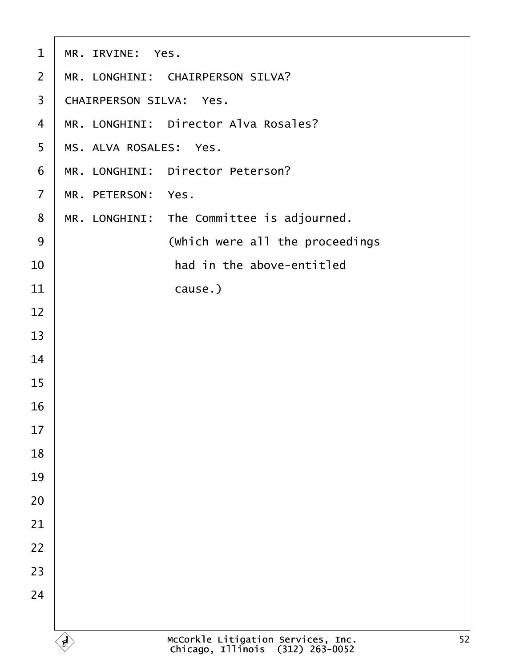<span id="page-51-0"></span>

| $\mathbf 1$    | MR. IRVINE: Yes.                          |
|----------------|-------------------------------------------|
| 2              | MR. LONGHINI: CHAIRPERSON SILVA?          |
| 3              | <b>CHAIRPERSON SILVA: Yes.</b>            |
| $\overline{4}$ | MR. LONGHINI: Director Alva Rosales?      |
| 5              | MS. ALVA ROSALES: Yes.                    |
| 6              | MR. LONGHINI: Director Peterson?          |
| $\overline{7}$ | MR. PETERSON: Yes.                        |
| 8              | MR. LONGHINI: The Committee is adjourned. |
| $9$            | (Which were all the proceedings           |
| 10             | had in the above-entitled                 |
| 11             | cause.)                                   |
| 12             |                                           |
| 13             |                                           |
| 14             |                                           |
| 15             |                                           |
| 16             |                                           |
| 17             |                                           |
| 18             |                                           |
| 19             |                                           |
| 20             |                                           |
| 21             |                                           |
| 22             |                                           |
| 23             |                                           |
| 24             |                                           |
|                |                                           |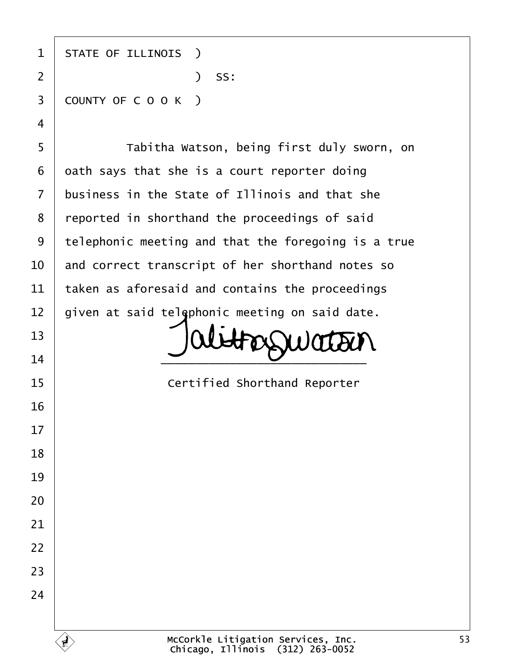| 1              | <b>STATE OF ILLINOIS</b> )                          |
|----------------|-----------------------------------------------------|
| $\overline{2}$ | $)$ SS:                                             |
| 3              | COUNTY OF COOK)                                     |
| 4              |                                                     |
| 5              | Tabitha Watson, being first duly sworn, on          |
| 6              | dath says that she is a court reporter doing        |
| 7              | business in the State of Illinois and that she      |
| 8              | reported in shorthand the proceedings of said       |
| 9              | telephonic meeting and that the foregoing is a true |
| 10             | and correct transcript of her shorthand notes so    |
| 11             | taken as aforesaid and contains the proceedings     |
| 12             | given at said telephonic meeting on said date.      |
| 13             |                                                     |
| 14             |                                                     |
| 15             | <b>Certified Shorthand Reporter</b>                 |
| 16             |                                                     |
| 17             |                                                     |
| 18             |                                                     |
| 19             |                                                     |
| 20             |                                                     |
| 21             |                                                     |
| 22             |                                                     |
| 23             |                                                     |
| 24             |                                                     |
|                |                                                     |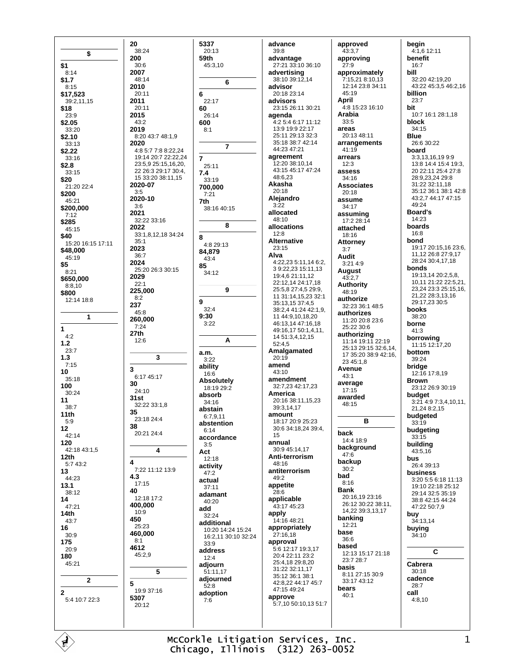\$  $$1$  $8:14$  $$1.7$  $8.15$ \$17,523 39:2.11.15 \$18  $23:9$ \$2.05  $33.20$  $$2.10$  $33:13$  $$2.22$  $33:16$  $$2.8$  $33.15$ \$20 21:20 22:4 \$200 45:21 \$200,000  $7:12$ \$285  $45:15$ \$40 15:20 16:15 17:11 \$48.000  $45.19$ \$5  $8:21$ \$650.000  $8.810$ \$800 12:14 18:8  $\mathbf{1}$  $\mathbf{1}$  $4.2$  $1.2$  $23.7$  $1.3$  $7:15$ 10  $35:18$ 100 30:24  $11$  $38:7$  $11th$  $5:9$  $12$ 42:14 120 42:18 43:1.5  $12th$ 5:7 43:2  $13$ 44:23  $13.1$  $38.12$  $14$ 47:21  $14th$  $43:7$ 16  $30:9$ 175  $20.9$ 180 45:21  $\overline{2}$  $\overline{2}$ 5:4 10:7 22:3

20

200

38:24

 $30.6$ 

 $48.14$ 

20:11

 $20:11$ 

2007

2010

2011

2015

2019

2020

 $3:5$ 

 $3:6$ 

2021

2022

 $35.1$ 

36:7

2023

2024

2029

 $22:1$ 

 $8:2$ 

45:8

 $7:24$ 

 $12:6$ 

 $27th$ 

 $\overline{3}$ 

30

35

38

 $\overline{\mathbf{4}}$ 

4.3

40

 $17.15$ 

 $10:9$ 

 $25:23$ 

450

 $R \cdot 1$ 

4612

5

5307

 $20:12$ 

 $45.29$ 

 $24:10$ 

 $31st$ 

237

43:2

5337  $20:13$ 59th  $45:310$  $6\phantom{a}$ 6  $22.17$ 60  $26:14$ 600  $8.1$ 8:20 43:7 48:1,9  $\overline{7}$ 4:8 5:7 7:8 8:22,24 19:14 20:7 22:22 24  $\overline{7}$ 23:5.9 25:15.16.20.  $25:11$ 22 26:3 29:17 30:4,  $7.4$ 15 33:20 38:11,15  $33:19$ 2020-07 700.000  $7.21$ 2020-10 7th 38:16 40:15 32:22 33:16 8 33:1,8,12,18 34:24 8 4:8 29:13 84,879  $43.4$ 85 25:20 26:3 30:15 34:12 9 225,000 9  $32.4$  $9:30$ 260.000  $3.22$ A a.m.  $\mathbf 3$  $3:22$ ability  $16:6$ 6:17 45:17 **Absolutely**  $18.1929.2$ absorb 34:16 32:22 33:1.8 abstain 6:7.9.11  $23.18244$ abstention  $6.14$  $20.2124.4$ accordance  $3:5$ 4 Act  $12.18$ activity 7:22 11:12 13:9  $47.2$ actual  $37:11$ adamant 12:18 17:2  $40.20$ 400,000 add 32:24 additional 10:20 14:24 15:24 460,000 16:2.11 30:10 32:24  $33.9$ address  $12:4$ adjourn  $5\phantom{a}$ 51:11.17 adjourned  $52.8$ 19:9 37:16 adoption  $7:6$ 

advance  $39:8$ advantage 27:21 33:10 36:10 advertising 38:10 39:12.14 advisor 20:18 23:14 advisors 23:15.26:11.30:21 agenda 4:2 5:4 6:17 11:12 13:9 19:9 22:17 25:11 29:13 32:3 35:18 38:7 42:14 44:23 47:21 agreement  $12.20.38.10.14$ 43.15 45.17 47.24 48:6.23 Akasha  $20:18$ Alejandro  $3:22$ allocated  $48.10$ allocations  $12:8$ **Alternative**  $23.15$ Alva 4:22,23 5:11,14 6:2, 39:22,23 15:11,13 19:4,6 21:11,12 22:12,14 24:17,18 25:5.8 27:4.5 29:9. 11 31:14,15,23 32:1 35:13,15 37:4,5 38.2 4 41.24 42.1 9 11 44:9.10.18.20 46:13 14 47:16 18 49:16,17 50:1,4,11, 14 51:3.4.12.15 52:4,5 Amalgamated  $20:19$ amend  $43:10$ amendment 32:7,23 42:17,23 America 20:16 38:11,15,23 39:3,14,17 amount 18:17 20:9 25:23 30:6 34:18,24 39:4, 15 annual 30:9 45:14,17 Anti-terrorism  $48.16$ antiterrorism 49:2 appetite  $28.6$ applicable 43:17 45:23 apply 14:16 48:21 appropriately 27:16.18 approval 5:6 12:17 19:3,17 20:4 22:11 23:2 25:4,18 29:8,20 31:22 32:11,17 35:12 36:1 38:1 42:8,22 44:17 45:7 47:15 49:24 approve 5:7.10 50:10.13 51:7

approved  $43:3.7$ approving  $27.9$ approximatelv 7:15.21 8:10.13 12:14 23:8 34:11 45:19 April 4:8 15:23 16:10 Arabia  $33:5$ areas 20:13 48:11 arrangements 41:19 arrears  $12.3$ assess 34:16 **Associates**  $20.18$ assume  $34:17$ assuming  $17.228.14$ attached 18:16 **Attorney**  $3.7$ **Audit**  $3:214:9$ **August**  $43:2.7$ **Authority** 48:19 authorize 32:23 36:1 48:5 authorizes 11:20 20:8 23:6  $25.22.30.6$ authorizing 11:14 19:11 22:19 25:13 29:15 32:6 14 17 35:20 38:9 42:16 23 45:1.8 Avenue  $43:1$ average  $17.15$ awarded 48:15 B back 14:4 18:9 background  $47.6$ backup  $30:2$ bad  $8:16$ **Bank** 20:16,19 23:16 26:12 30:22 38:11. 14,22 39:3,13,17 banking 12:21 hase  $36.6$ based 12:13 15:17 21:18 23:7 28:7 basis 8:11 27:15 30:9 33:17 43:12 bears  $40:1$ 

begin 4:1,6 12:11 benefit  $16.7$ hill 32:20 42:19,20 43:22 45:3,5 46:2,16 billion  $23.7$ bit 10:7 16:1 28:1,18 block 34:15 **Blue** 26:6 30:22 board 3:3,13.16.19 9:9 13:8 14:4 15:4 19:3. 20 22:11 25:4 27:8 28:9,23,24 29:8 31:22 32:11,18 35:12 36:1 38:1 42:8 43:2,7 44:17 47:15 49:24 **Board's**  $14.23$ boards 16:8 bond 19:17 20:15,16 23:6, 11.12 26:8 27:9.17 28:24 30:4,17,18 honds 19:13,14 20:2,5,8, 10,11 21:22 22:5,21, 23,24 23:3 25:15,16, 21,22 28:3,13,16 29:17,23 30:5 books  $38:20$ horne  $41:3$ borrowing 11:15 12:17,20 hottom  $39.24$ bridge 12:16 17:8,19 **Brown** 23:12 26:9 30:19 budaet 3:21 4:9 7:3,4,10,11, 21.24 8:2.15 budgeted  $33:19$ budgeting  $33.15$ building 43:5,16 bus 26:4 39:13 business 3:20 5:5 6:18 11:13 19:10 22:18 25:12 29:14 32:5 35:19 38:8 42:15 44:24 47:22 50:7,9 buy 34:13.14 buying 34:10 C Cabrera  $30:18$ cadence  $28:7$ call  $4:8,10$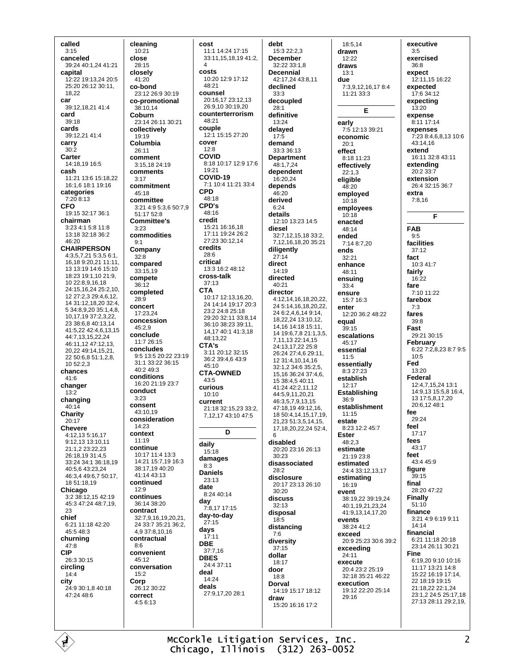called  $3:15$ canceled 39:24 40:1 24 41:21 canital 12:22 19:13.24 20:5 25:20 26:12 30:11, 18.22 car 39:12,18,21 41:4 card  $39:18$ cards 39:12,21 41:4 carry  $30:2$ Carter 14:18.19 16:5 cash 11:21 13:6 15:18,22 16:1,6 18:1 19:16 categories  $7:208:13$ **CFO** 19:15 32:17 36:1 chairman  $3:23.4:1.5:8.11:8$ 13:18 32:18 36:2  $46.20$ **CHAIRPERSON** 4:3,5,7,21 5:3,5 6:1, 16,18 9:20,21 11:11, 13 13:19 14:6 15:10 18:23 19:1,10 21:9, 10 22:8,9,16,18 24:15,16,24 25:2,10, 12 27:2.3 29:4.6.12. 14 31:12,18,20 32:4, 5 34 8 9 20 35 1 4 8 10.17.19.37:2.3.22 23.38:6.8.40:13.14 41:5.22 42:4.6.13.15 44.7 13 15 22 24 46:11,12 47:12,13, 20 22 49:14 15 21 22 50:6,8 51:1,2,8,  $10.52.23$ chances 41:6 changer  $13:2$ changing  $40:14$ Charity  $20:17$ **Chevere** 4:12,13 5:16,17 9:12,13 13:10,11 21:1,2 23:22,23 26:18,19 31:4,5 33:24 34:1 36:18,19 40:5.6 43:23.24 46:3,4 49:6,7 50:17, 18 51:18,19 Chicago  $3.238.121542.19$ 45:3 47:24 48:7.19. 23 chief 6:21 11:18 42:20 45:5 48:3 churning  $47.8$ **CIP** 26:3 30:15 circling  $14:4$ city 24:9.30:1.8.40:18 47:24 48:6

cleaning  $10:21$ close  $28.15$ closely 41:20 co-bond 23:12 26:9 30:19 co-promotional  $38:1014$ Coburn 23:14 26:11 30:21 collectively 19:19 Columbia 26:11 comment 3:15.18 24:19 comments  $3:17$ commitment 45:18 committee 3:21 4:9 5:3,6 50:7,9 51:17 52:8 **Committee's**  $3.23$ commodities  $9:1$ Company  $32:8$ compared 33:15,19 compete  $36:12$ completed  $28.9$ concert 17:23,24 concession  $45.29$ conclude 11:7 26:15 concludes 9:5 13:5 20:22 23:19 31:1 33:22 36:15 40:2 49:3 conditions 16:20 21:19 23:7 conduct  $3:23$ consent  $43:10.19$ consideration 14:23 context 11:19 **continue** 10:17 11:4 13:3 14:21 15:7 19 16:3 38:17 19 40:20 41:14 43:13 continued  $12.9$ continues  $36.1438.20$ contract 32:7,9,16,19,20,21, 24 33:7 35:21 36:2, 493781016 contractual  $8.6$ convenient 45:12 conversation  $15:2$ Corp 26:12 30:22 correct 4:5 6:13

cost 11:1 14:24 17:15 33:11.15.18.19 41:2. costs  $10:20$  12:9 17:12  $48.21$ counsel 20:16,17 23:12,13 26:9,10 30:19,20 counterterrorism  $48.21$ couple 12:1 15:15 27:20 cover  $12:8$ COVID 8:18 10:17 12:9 17:6  $10.21$ COVID-19 7:1 10:4 11:21 33:4 **CPD**  $48.18$ CPD's  $AB-16$ credit 15:21 16:16,18 17:11 19:24 26:2 27:23 30:12,14 credits  $28.6$ critical 13:3 16:2 48:12 cross-talk  $37.13$ **CTA** 10:17 12:13,16,20, 24 14:14 19:17 20:3 23:2 24:8 25:18 29:20 32:11 33:8.14 36:10 38:23 39:11, 14 17 40 1 41 3 18 48:13,22 CTA's  $3:11$  20:12 32:15 36:2 39:4.6 43:9  $45.10$ **CTA-OWNED**  $43:5$ curious  $10:10$ current 21:18 32:15,23 33:2, 7, 12, 17 43: 10 47: 5 D daily  $15:18$ damages  $8:3$ **Daniels**  $23.13$ date 8:24 40:14 day  $7:8.1717:15$ day-to-day  $27:15$ days  $17.11$ **DBE**  $37:7,16$ **DBES** 24:4 37:11 deal 14:24 deals 27:9,17,20 28:1

debt 15:3 22:2,3 **December**  $32.2233.18$ Decennial 42:17.24 43:8.11 declined  $33:3$ decoupled  $28.1$ definitive 13:24 delayed  $17:5$ demand 33:3 36:13 **Department** 48:1,7,24 dependent  $16.2024$ depends 46:20 derived  $6:24$ details 12:10 13:23 14:5 diesel 32:7,12,15,18 33:2, 7,12,16,18,20 35:21 diligently  $27:14$ direct  $14:19$ directed  $40:21$ director 4:12,14,16,18,20,22, 24 5:14,16,18,20,22, 24 6:2,4,6,14 9:14, 18.22.24 13:10.12. 14,16 14:18 15:11, 14 19:6,7,8 21:1,3,5, 7,11,13 22:14,15 24:13,17,22 25:8 26:24 27:4.6 29:11. 12 31:4,10,14,16 32:1,2 34:6 35:2,5, 15.16 36:24 37:4.6 15 38:4.5 40:11  $41.24\ 42.2\ 11.12$ 44:5.9.11.20.21 46:3,5,7,9,13,15 47.18.19.49.12.16 18 50:4.14.15.17.19. 21,23 51:3,5,14,15, 17, 18, 20, 22, 24 52: 4, G disabled 20:20 23:16 26:13 30:23 disassociated  $28.2$ disclosure 20:17 23:13 26:10 30:20 discuss  $32.13$ disposal  $18:5$ distancing  $7:6$ diversity  $37.15$ dollar 18:17 door  $18:8$ Dorval 14:19 15:17 18:12 draw 15:20 16:16 17:2

 $18.514$ drawn  $12.22$ draws  $13.1$ due 7:3.9.12.16.17 8:4 11:21 33:3 E early  $7.512.1339.21$ economic  $20.1$ effect 8:18 11:23 effectively  $22.13$ eligible  $48:20$ employed  $10:18$ employees  $10:18$ enacted 48:14 ended  $7.148.720$ ends  $32.21$ enhance 48:11 ensuina  $33.4$ ensure 15:7 16:3 enter 12:20 36:2 48:22 equal  $39:15$ escalations 45:17 essential  $11:5$ essentially 8:3 27:23 establish  $12:17$ Establishing  $36.9$ establishment  $11:15$ estate 8.23 12.2 45.7 **Ester**  $48.23$ estimate 21:19 23:8 estimated 24:4 33:12 13 17 estimating  $16.19$ event 38:19.22 39:19.24 40:1 19 21 23 24 41:9 13 14 17 20 events 38:24 41:2 exceed 20:9 25:23 30:6 39:2 exceeding  $24:11$ execute 20:4 23:2 25:19 32:18 35:21 46:22 execution 19:12 22:20 25:14  $29.16$ 

executive  $3:5$ exercised  $36.8$ expect 12:11,15 16:22 expected 17:6 34:12 expectina  $13.20$ expense 8:11 17:14 expenses 7:23 8:4,6,8,13 10:6  $43.1416$ extend 16:11 32:8 43:11 extendina 20:2 33:7 extension 26:4.32:15.36:7 extra  $7:8.16$ F **FAB**  $9.5$ facilities  $37.12$ fact 10:3 41:7 fairly  $16:22$ fare  $7.1011.22$ farebox  $7:3$ fares  $39.8$ Fast 29:21 30:15 February 6:22 7:2.8.23 8:7 9:5  $10:5$ Fed  $13:20$ Federal 12:4,7,15,24 13:1 14:9.13 15:5.8 16:4. 13 17:5,8,17,20 20:6.12 48:1 fee  $29.24$ feel  $17.17$ fees  $43:17$ feet 43:4 45:9 figure  $39.15$ final  $28.2047.22$ Finally  $51:10$ finance 3:21 4:9 6:19 9:11  $14:14$ financial 6:21 11:18 20:18 23:14 26:11 30:21 **Fine** 6:19,20 9:10 10:16 11:17 13:21 14:8 15:22 16:19 17:14. 22 18:19 19:15 21:18 22 22:1 24 23:1 2 24:5 25:17 18 27:13 28:11 29:2,19,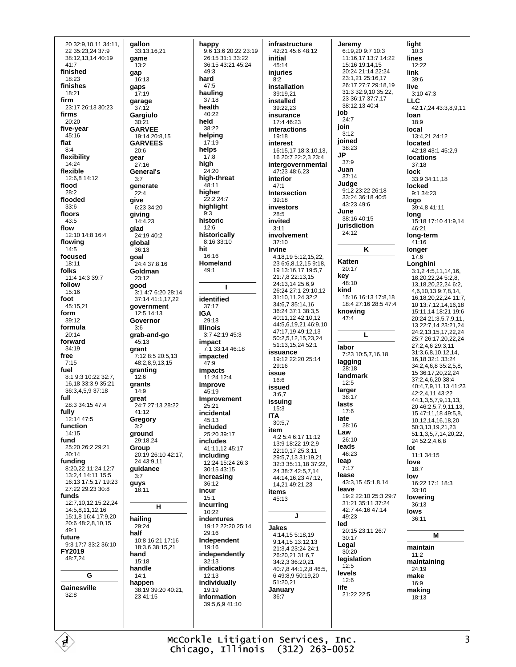20 32:9,10,11 34:11, 22 35:23,24 37:9 38:12.13.14 40:19  $41:7$ finished  $18.23$ finishes 18:21 firm 23:17 26:13 30:23 firms  $20:20$ five-year  $45:16$ flat  $8:4$ flexibility 14:24 flexible 12:6,8 14:12 flood  $28.2$ flooded  $33:6$ floors  $43.5$ flow 12:10 14:8 16:4 flowing  $14.5$ focused  $18:11$ folks 11:4 14:3 39:7 follow  $15:16$ foot  $45:15.21$ form 39:12 formula  $20.14$ forward  $34:19$ free  $7.15$ fuel 8:1 9:3 10:22 32:7 16 18 33:3 9 35:21 36:3,4,5,9 37:18 full 28:3 34:15 47:4 fully  $12.1447.5$ function  $14:15$ fund 25:20 26:2 29:21  $30:14$ funding 8:20,22 11:24 12:7 13:2.4 14:11 15:5 16:13 17:5,17 19:23 27:22 29:23 30:8 funds 12:7.10.12.15.22.24 14:5.8.11.12.16 15:1.8 16:4 17:9.20 20:6 48:2,8,10,15  $49.1$ future 9:3 17:7 33:2 36:10 FY2019 48:7.24 G Gainesville  $32.8$ 

qallon 33:13,16,21 qame  $13.2$ gap 16:13 gaps 17:19 garage  $37.12$ Gargiulo  $30:2'$ **GARVEE** 19:14 20:8,15 **GARVEES**  $20:6$ gear 27:16 General's  $3:7$ generate  $22.4$ give 6:23 34:20 giving 14:4.23 glad 24:19 40:2 global  $36.13$ goal 24:4 37:8 16 Goldman  $23.12$ good  $3:14:76:2028:14$ 37:14 41:1 17 22 government 12:5 14:13 Governor  $3.6$ grab-and-go 45:13 grant 7:12 8:5 20:5,13 48:2,8,9,13,15 granting  $12.6$ grants  $14:9$ great 24:7 27:13 28:22  $41.12$ Gregory  $3:2$ ground 29:18,24 Group  $20:1926:1042:17$ 24 43 9 11 guidance  $3.7$ guys  $18.11$  $H$ hailing  $29.24$ half 10:8 16:21 17:16 18:3,6 38:15,21 hand  $15.18$ handle  $14:1$ happen 38:19 39:20 40:21, 23 41:15

happy 9:6 13:6 20:22 23:19 26:15 31:1 33:22 36:15 43:21 45:24  $49:3$ hard  $47.5$ hauling  $37:18$ health  $40.22$ held  $38.22$ helping  $17.19$ helps  $17.8$ high  $24:20$ high-threat  $48.11$ hiaher  $22.224.7$ highlight 9:3 historic  $12.6$ historically 8:16 33:10 hit 16:16 Homeland  $49.1$  $\mathbf{I}$ identified  $37.17$ **IGA** 29:18 **Illinois**  $3.742.1945.3$ impact 7:1 33:14 46:18 impacted  $47.9$ **impacts** 11:24 12:4 improve 45:19 Improvement  $25.21$ incidental  $45.13$ included 25:20.39:17 includes 41:11,12 45:17 including 12:24 15:24 26:3 30:15 43:15 increasing  $36.12$ incur  $15:1$ incurring 10:22 indentures 19:12 22:20 25:14  $29.16$ Independent 19:16 independently  $32.13$ indications 12:13 individually 19:19 information 39:5,6,9 41:10

infrastructure 42:21 45:6 48:12 initial  $45.14$ injuries  $8.2$ installation 39:19,21 installed  $39.2223$ insurance 17:4 46:23 interactions 19:18 interest 16:15,17 18:3,10,13, 16 20:7 22:2.3 23:4 intergovernmental 47:23 48:6,23 interior  $47.1$ Intersection 39:18 investors  $28:5$ hetivri  $3:11$ involvement  $37:10$ **Irvine** 4:18.19 5:12.15.22. 23 6:6,8,12,15 9:18,<br>19 13:16,17 19:5,7 21.7 8 22.13 15 24:13,14 25:6,9 26:24 27:1 29:10,12 31:10,11,24 32:2 34:6,7 35:14,16 36:24 37:1 38:3,5 40:11,12 42:10,12 44:5,6,19,21 46:9,10 47:17,19 49:12,13 50:2,5,12,15,23,24 51:13,15,24 52:1 issuance 19:12 22:20 25:14  $29.16$ issue  $16:6$ issued  $3.67$ issuing  $15:3$ **ITA**  $30.57$ item  $4.25.46.1711.12$ 13:9 18:22 19:29 22:10,17 25:3,11 29:5,7,13 31:19,21 32:3 35:11,18 37:22, 24 38:7 42:5,7,14 44:14,16,23 47:12, 14,21 49:21,23 items  $45.13$  $\mathbf{J}$ **Jakes** 4:14.15 5:18.19 9:14.15 13:12.13 21:3,4 23:24 24:1 26:20,21 31:6,7 34:2,3 36:20,21 40:7,8 44:1,2,8 46:5, 6 49:8,9 50:19,20 51:20.21 January  $36.7$ 

Jeremy 6:19,20 9:7 10:3 11:16,17 13:7 14:22 15:16 19:14,15 20:24 21:14 22:24 23:1,21 25:16,17 26:17 27:7 29:18,19 31:3 32:9 10 35:22 23 36:17 37:7.17 38:12 13 40:4 job  $24:7$ join  $3.12$ joined 38:23 IP  $37:9$ Juan  $37.14$ Judae 9:12 23:22 26:18 33:24 36:18 40:5 43:23 49:6 June.  $38.1640.15$ iurisdiction  $24:12$ K Katten 20:17  $key$ <sub>48:10</sub> kind 15:16 16:13 17:8 18 18:4 27:16 28:5 47:4 knowing  $47.4$  $\mathbf{L}$ labor 7:23 10:5.7.16.18 lagging  $28.18$ landmark  $12.5$ larger  $38.17$ lasts  $17:6$ late 28:16 I aw  $26:10$ leads 46:23 leap  $7.17$ lease 43:3,15 45:1,8,14 leave 19:2 22:10 25:3 29:7 31:21 35:11 37:24 42:7 44:16 47:14 49:23 led 20:15 23:11 26:7 30:17 Legal  $30:20$ legislation  $12:5$ levels  $12:6$ life 21:22 22:5

light  $10:3$ lines  $12.22$ link  $39.6$ live 3:10 47:3 **LLC** 42:17,24 43:3,8,9,11 loan  $18:9$ local 13:4,21 24:12 located 42:18 43:1 45:2,9 **locations**  $37:18$ lock 33:9 34:11,18 locked 9:1 34:23 logo 39:4.8 41:11 long 15:18 17:10 41:9.14 46:21 long-term  $41:16$ longer  $17:6$ Longhini  $3:1,24:5,11,14,16$ , 18,20,22,24 5:2,8, 13, 18, 20, 22, 24 6: 2, 4,6,10,13 9:7,8,14, 16, 18, 20, 22, 24 11: 7, 10 13:7,12,14,16,18 15:11.14 18:21 19:6 20:24 21:3.5.7.9.11. 13 22:7,14 23:21,24 24.2 13 15 17 22 24 25.7 26.17 20 22 24 27:2.4.6 29:3.11 31:368 10 12 14 16.18 32:1 33:24 34:2,4,6,8 35:2,5,8, 15 36:17,20,22,24 37:2.4.6.20 38:4 40:4,7,9,11,13 41:23 42:2,4,11 43:22 44:1,3,5,7,9,11,13, 20 46:2,5,7,9,11,13, 15 47:11,18 49:5,8, 10, 12, 14, 16, 18, 20 50:3,13,19,21,23 51:1,3,5,7,14,20,22, 24 52:2,4,6,8  $Int$ 11:1 34:15 love  $18:7$ low 16:22 17:1 18:3  $33.10$ lowering 36:13 lows  $36:11$ M maintain  $11:2$ maintaining 24:19 make  $16:9$ making 18:13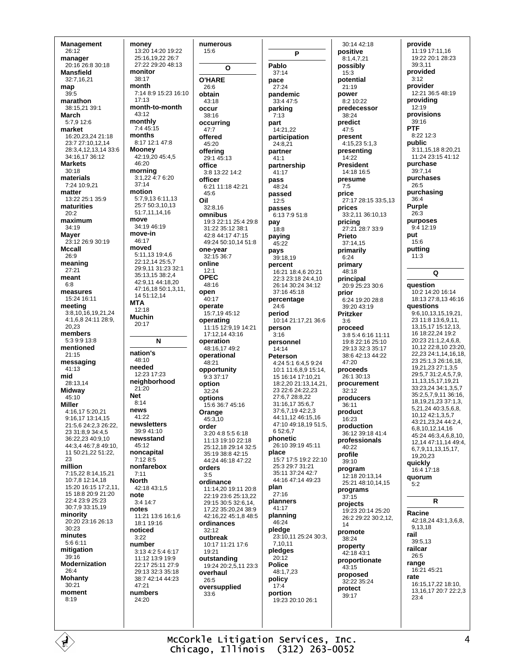**Management**  $26:12$ manager  $20.16$   $26.830.18$ **Mansfield**  $32.71621$ man 39:5 marathon 38:15.21.39:1 March 5:7,9 12:6 market 16:20,23,24 21:18 23.7 27.10 12 14 28:3,4,12,13,14 33:6 34:16 17 36:12 **Markets**  $30.18$ materials 7:24 10:9,21 matter 13:22 25:1 35:9 maturities  $20:2$ maximum  $34.19$ **Mayer** 23:12 26:9 30:19 **Mccall** 26:9 meaning  $27.21$ meant  $6:8$ measures 15:24 16:11 meeting 3:8,10,16,19,21,24 4:1.6.8 24:11 28:9. 20.23 members 5:3 9:9 13:8 mentioned  $21.15$ messaging 41:13 mid 28:13.14 Midway 45:10 **Miller** 4:16,17 5:20,21 9:16,17 13:14,15 21:5.6 24:2.3 26:22 23 31:8.9 34:4.5  $36.222340910$ 44:3.4 46:7.8 49:10. 11 50:21,22 51:22, 23 million 7:15,22 8:14,15,21 10:7,8 12:14,18 15:20 16:15 17:2,11, 15 18:8 20:9 21:20 22:4 23:9 25:23 30:7.9 33:15.19 minority 20:20 23:16 26:13 30:23 minutes  $5:66:11$ mitigation  $39.16$ Modernization  $26:4$ **Mohanty** 30:21 moment  $8.19$ 

money 13:20 14:20 19:22 25:16.19.22 26:7 27:22 29:20 48:13 monitor  $38.17$ month 7:14 8:9 15:23 16:10  $17.13$ month-to-month  $43.12$ monthly  $7:445:15$ months 8:17 12:1 47:8 **Mooney**  $42:19.2045:4.5$  $46.20$ morning 3:1,22 4:7 6:20  $37.14$ motion 5.7 9 13 6:11 13 25:7 50:3,10,13  $51.7111416$ move 34:19 46:19 move-in  $46.17$ moved 5:11.13 19:4.6 22:12,14 25:5,7 29:9.11 31:23 32:1 35:13,15 38:2,4 42:9,11 44:18,20 47:16,18 50:1,3,11, 14 51:12,14 **MTA** 12:18 **Muchin**  $20:17$ N nation's 48:10 needed  $12.23$  17.23 neighborhood 21:20 **Net**  $8.14$ news 41:22 newsletters 39:9 41:10 newsstand 45:12 noncapital 7:12 8:5 nonfarebox  $7:11$ **North**  $42.1843.15$ note  $3:4$  14:7 notes 11:21 13:6 16:1.6 18:1 19:16 noticed  $3.22$ number 3:13 4:2 5:4 6:17 11:12 13:9 19:9 22:17 25:11 27:9 29:13 32:3 35:18 38:7 42:14 44:23  $47.21$ numhers 24:20

numerous  $15:6$  $\Omega$ **O'HARE**  $26.6$ obtain  $43.18$ occur  $38:16$ occurrina  $47.7$ offered 45:20 offering 29:1 45:13 office  $3:8$  13:22 14:2 officer 6:21 11:18 42:21 45:6  $32.816$ omnibus 19:3 22:11 25:4 29:8 31:22 35:12 38:1 42:8 44:17 47:15 49:24 50:10,14 51:8 one-year<br>32:15 36:7 online  $12:1$ OPFC 48:16 open  $40.17$ operate 15:7,19 45:12 operating 11:15 12:9,19 14:21 17:12,14 43:16 operation 48:16,17 49:2 operational .<br>48:21 opportunity  $9.3.37 \cdot 17$ option コワ・ワイ options 15:6 36:7 45:16 Orange 45:3.10 order  $3.204.855618$ 11:13 19:10 22:18 25:12.18 29:14 32:5 35:19 38:8 42:15 44:24 46:18 47:22 orders  $3.5$ ordinance 11:14,20 19:11 20:8 22:19 23:6 25:13,22 29:15 30:5 32:6.14. 17,22 35:20,24 38:9 42:16.22 45:1.8 48:5 ordinances  $32.12$ outbreak 10:17 11:21 17:6 19:21 outstanding 19:24 20:2,5,11 23:3 overhaul 26:5 oversupplied 33:6

Oil

P Pablo  $37:14$ pace  $27.24$ pandemic  $33.447.5$ parking  $7:13$ part  $14.21.22$ participation  $24.821$ partner  $41:1$ partnership  $41.17$ pass 48:24 passed  $12:5$ passes 6:13 7:9 51:8 pay  $18:8$ paying  $45.22$ pays 39:18,19 percent 16:21 18:4,6 20:21 22:3 23:18 24:4,10 26:14 30:24 34:12  $37.1645.18$ percentage  $24:6$ period 10:14 21:17,21 36:6 person  $3.16$ personnel 14:14 Peterson 4:24 5:1 6:4,5 9:24  $10:1 11:6 8.9 15:14$ 15 16:14 17:10 21 18:2,20 21:13,14,21,  $23.22 - 6.24 - 22.23$ 27.6728.822 31:16,17 35:6,7 37:6,7,19 42:2,3 44:11.12 46:15.16 47:10 49:18,19 51:5, 6 52:6.7 phonetic 26:10 39:19 45:11 place 15:7 17:5 19:2 22:10 25:3 29:7 31:21 35:11 37:24 42:7 44:16 47:14 49:23 plan  $27:16$ planners  $41.17$ planning 46:24 pledge 23:10.11 25:24 30:3. 7.10.11 pledges  $20:12$ **Police** 48:1.7.23 policy  $17.4$ portion 19:23 20:10 26:1

 $30.1442.18$ positive  $8.14721$ possibly  $15:3$ potential  $21:19$ power 8:2 10:22 predecessor  $38.24$ predict  $47:5$ present 4:15.23 5:1.3 presenting 14:22 **President**  $14.1816.5$ presume  $7.5$ price 27:17 28:15 33:5,13 prices 33:2,11 36:10,13 pricing 27:21 28:7 33:9 Prieto  $37:14.15$ primarily  $6:24$ primary  $48.18$ principal 20:9 25:23 30:6 prior 6:24 19:20 28:8 39:20 43:19 **Pritzker**  $3.6$ proceed 3:8 5:4 6:16 11:11 19:8 22:16 25:10 29:13.32:3.35:17 38:6 42:13 44:22 47:20 proceeds 26:1 30:13 procurement  $32.12$ producers  $36:11$ product  $16:23$ production 36:12 39:18 41:4 professionals  $40:22$ profile  $39.10$ program 12:18 20:13,14 25:21 48:10,14,15 programs  $37.15$ projects 19:23 20:14 25:20 26:2 29:22 30:2,12, promote 38:24 property 42:18 43:1 proportionate  $43:15$ proposed  $32.22335.24$ protect  $39:17$ 

provide 11:19 17:11,16 19:22 20:1 28:23 39:3.11 provided  $3.12$ provider 12:21 36:5 48:19 providing  $12.19$ provisions 39:16 **PTF** 8:22 12:3 public 3:11.15.18 8:20.21  $11.2423.1541.12$ purchase 39:7.14 purchases  $26:5$ purchasing  $36:4$ Purple  $26:3$ purposes  $9.412.19$ put  $15.6$ putting  $11:3$  $\Omega$ **auestion** 10:2 14:20 16:14 18:13 27:8.13 46:16 **questions** 9:6,10,13,15,19,21, 23 11:8 13:6,9,11, 13, 15, 17 15: 12, 13, 16 18:22,24 19:2 20:23 21:1,2,4,6,8, 10,12 22:8,10 23:20, 22,23 24:1,14,16,18, 23 25:1,3 26:16,18, 19,21,23 27:1,3,5  $29.5731.24579$ 11.13.15.17.19.21 33:23.24 34:1.3.5.7 35:2.5.7.9.11 36:16. 18.19.21.23 37:1.3. 5,21,24 40:3,5,6,8, 10,12 42:1,3,5,7 43:21,23,24 44:2,4, 6,8,10,12,14,16 45:24 46:3,4,6,8,10, 12,14 47:11,14 49:4, 6,7,9,11,13,15,17, 19.20.23 quickly 16:4 17:18 quorum  $5.2$ R Racine 42:18,24 43:1,3,6,8, 9,13,18 rail 39:5.13 railcar 26:5 range 16:21 45:21 rate 16:15.17.22 18:10. 13, 16, 17 20: 7 22: 2, 3  $23:4$ 

McCorkle Litigation Services, Inc. Chicago, Illinois (312) 263-0052